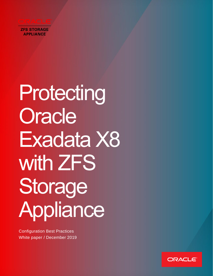**ZFS STORAGE APPLIANCE** 

# Protecting **Oracle** Exadata X8 with ZFS Storage Appliance

Configuration Best Practices White paper / December 2019

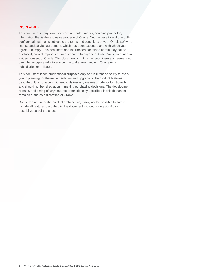# <span id="page-1-0"></span>DISCLAIMER

This document in any form, software or printed matter, contains proprietary information that is the exclusive property of Oracle. Your access to and use of this confidential material is subject to the terms and conditions of your Oracle software license and service agreement, which has been executed and with which you agree to comply. This document and information contained herein may not be disclosed, copied, reproduced or distributed to anyone outside Oracle without prior written consent of Oracle. This document is not part of your license agreement nor can it be incorporated into any contractual agreement with Oracle or its subsidiaries or affiliates.

This document is for informational purposes only and is intended solely to assist you in planning for the implementation and upgrade of the product features described. It is not a commitment to deliver any material, code, or functionality, and should not be relied upon in making purchasing decisions. The development, release, and timing of any features or functionality described in this document remains at the sole discretion of Oracle.

Due to the nature of the product architecture, it may not be possible to safely include all features described in this document without risking significant destabilization of the code.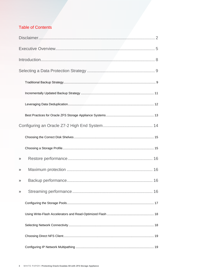# **Table of Contents**

| $\rangle$ |  |
|-----------|--|
| $\rangle$ |  |
| $\rangle$ |  |
| »         |  |
|           |  |
|           |  |
|           |  |
|           |  |
|           |  |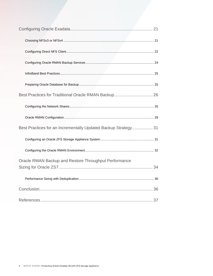| Best Practices for an Incrementally Updated Backup Strategy 31 |  |
|----------------------------------------------------------------|--|
|                                                                |  |
|                                                                |  |
| Oracle RMAN Backup and Restore Throughput Performance          |  |
|                                                                |  |
|                                                                |  |
|                                                                |  |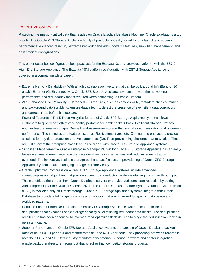# <span id="page-4-0"></span>EXECUTIVE OVERVIEW

Protecting the mission-critical data that resides on Oracle Exadata Database Machine (Oracle Exadata) is a top priority. The Oracle ZFS Storage Appliance family of products is ideally suited for this task due to superior performance, enhanced reliability, extreme network bandwidth, powerful features, simplified management, and cost-efficient configurations.

This paper describes configuration best practices for the Exadata X8 and previous platforms with the ZS7-2 High-End Storage Appliance. The Exadata X8M platform configuration with ZS7-2 Storage Appliance is covered in a companion white paper.

- **»** Extreme Network Bandwidth With a highly scalable architecture that can be built around InfiniBand or 10 gigabit Ethernet (GbE) connectivity, Oracle ZFS Storage Appliance systems provide the networking performance and redundancy that is required when connecting to Oracle Exadata.
- **»** ZFS-Enhanced Disk Reliability Hardened ZFS features, such as copy-on-write, metadata check summing, and background data scrubbing, ensure data integrity, detect the presence of even silent data corruption, and correct errors before it is too late.
- **»** Powerful Features The DTrace Analytics feature of Oracle ZFS Storage Appliance systems allows customers to quickly and effectively identify performance bottlenecks. Oracle Intelligent Storage Protocol, another feature, enables unique Oracle Database–aware storage that simplifies administration and optimizes performance. Technologies and features, such as Replication, snapshots, Cloning, and encryption, provide solutions for any data protection or development/test (DevTest) provisioning challenge that may arise. These are just a few of the enterprise-class features available with Oracle ZFS Storage Appliance systems.
- **»** Simplified Management Oracle Enterprise Manager Plug-in for Oracle ZFS Storage Appliance has an easyto-use web management interface that cuts down on training expenses and reduces administration overhead. The innovative, scalable storage pool and fast file system provisioning of Oracle ZFS Storage Appliance systems make managing storage extremely easy.
- **»** Oracle Optimized Compression Oracle ZFS Storage Appliance systems include advanced inline-compression algorithms that provide superior data reduction while maintaining maximum throughput. This can offload the burden from Oracle Database servers or provide additional data reduction by pairing with compression at the Oracle Database layer. The Oracle Database feature Hybrid Columnar Compression (HCC) is available only on Oracle storage. Oracle ZFS Storage Appliance systems integrate with Oracle Database to provide a full range of compression options that are optimized for specific data usage and workload patterns.
- **»** Reduced Footprint from Deduplication Oracle ZFS Storage Appliance systems feature inline data deduplication that expands usable storage capacity by eliminating redundant data blocks. The deduplication architecture has been enhanced to leverage read-optimized flash devices to stage the deduplication tables in persistent cache.
- **»** Superior Performance Oracle ZFS Storage Appliance systems are capable of Oracle Database backup rates of up to 50 TB per hour and restore rates of up to 62 TB per hour. They previously set world records in both the SPC-2 and SPECsfs industry-standard benchmarks. Superior hardware and tighter integration enable backup-and-restore throughput that is higher than competitor storage products.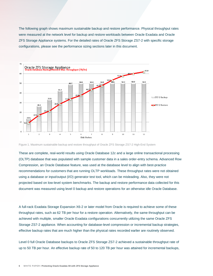The following graph shows maximum sustainable backup and restore performance. Physical throughput rates were measured at the network level for backup and restore workloads between Oracle Exadata and Oracle ZFS Storage Appliance systems. For the detailed rates of Oracle ZFS Storage ZS7-2 with specific storage configurations, please see the performance sizing sections later in this document.



Figure 1. Maximum sustainable backup and restore throughput of Oracle ZFS Storage ZS7-2 High-End System

These are complete, real-world results using Oracle Database 12*c* and a large online transactional processing (OLTP) database that was populated with sample customer data in a sales order-entry schema. Advanced Row Compression, an Oracle Database feature, was used at the database level to align with best-practice recommendations for customers that are running OLTP workloads. These throughput rates were not obtained using a database or input/output (I/O) generator test tool, which can be misleading. Also, they were not projected based on low-level system benchmarks. The backup and restore performance data collected for this document was measured using level 0 backup and restore operations for an otherwise idle Oracle Database.

A full-rack Exadata Storage Expansion X6-2 or later model from Oracle is required to achieve some of these throughput rates, such as 62 TB per hour for a restore operation. Alternatively, the same throughput can be achieved with multiple, smaller Oracle Exadata configurations concurrently utilizing the same Oracle ZFS Storage ZS7-2 appliance. When accounting for database-level compression or incremental backup strategies, effective backup rates that are much higher than the physical rates recorded earlier are routinely observed.

Level 0 full Oracle Database backups to Oracle ZFS Storage ZS7-2 achieved a sustainable throughput rate of up to 50 TB per hour. An effective backup rate of 50 to 120 TB per hour was attained for incremental backups,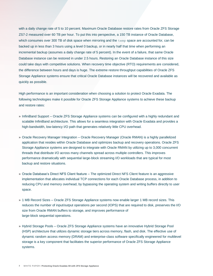with a daily change rate of 5 to 10 percent. Maximum Oracle Database restore rates from Oracle ZFS Storage ZS7-2 measured over 60 TB per hour. To put this into perspective, a 150 TB instance of Oracle Database, which consumes over 300 TB of disk space when mirroring and the temp space are accounted for, can be backed up in less than 3 hours using a level 0 backup, or in nearly half that time when performing an incremental backup (assumes a daily change rate of 5 percent). In the event of a failure, that same Oracle Database instance can be restored in under 2.5 hours. Restoring an Oracle Database instance of this size could take days with competitive solutions. When recovery time objective (RTO) requirements are considered, the difference between hours and days is huge. The extreme restore throughput capabilities of Oracle ZFS Storage Appliance systems ensure that critical Oracle Database instances will be recovered and available as quickly as possible.

High performance is an important consideration when choosing a solution to protect Oracle Exadata. The following technologies make it possible for Oracle ZFS Storage Appliance systems to achieve these backup and restore rates:

- **»** InfiniBand Support Oracle ZFS Storage Appliance systems can be configured with a highly redundant and scalable InfiniBand architecture. This allows for a seamless integration with Oracle Exadata and provides a high-bandwidth, low-latency I/O path that generates relatively little CPU overhead.
- **»** Oracle Recovery Manager Integration Oracle Recovery Manager (Oracle RMAN) is a highly parallelized application that resides within Oracle Database and optimizes backup and recovery operations. Oracle ZFS Storage Appliance systems are designed to integrate with Oracle RMAN by utilizing up to 3,000 concurrent threads that distribute I/O across many channels spread across multiple controllers. This improves performance dramatically with sequential large-block streaming I/O workloads that are typical for most backup and restore situations.
- **»** Oracle Database's Direct NFS Client feature The optimized Direct NFS Client feature is an aggressive implementation that allocates individual TCP connections for each Oracle Database process, in addition to reducing CPU and memory overhead, by bypassing the operating system and writing buffers directly to user space.
- **»** 1 MB Record Sizes Oracle ZFS Storage Appliance systems now enable larger 1 MB record sizes. This reduces the number of input/output operations per second (IOPS) that are required to disk, preserves the I/O size from Oracle RMAN buffers to storage, and improves performance of large-block sequential operations.
- **»** Hybrid Storage Pools Oracle ZFS Storage Appliance systems have an innovative Hybrid Storage Pool (HSP) architecture that utilizes dynamic storage tiers across memory, flash, and disk. The effective use of dynamic random access memory (DRAM) and enterprise-class software specifically engineered for multilevel storage is a key component that facilitates the superior performance of Oracle ZFS Storage Appliance systems.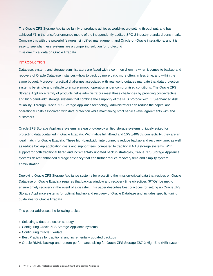The Oracle ZFS Storage Appliance family of products achieves world-record-setting throughput, and has achieved #1 in the price/performance metric of the independently audited SPC-2 industry-standard benchmark. Combine this with the powerful features, simplified management, and Oracle-on-Oracle integrations, and it is easy to see why these systems are a compelling solution for protecting mission-critical data on Oracle Exadata.

## <span id="page-7-0"></span>INTRODUCTION

Database, system, and storage administrators are faced with a common dilemma when it comes to backup and recovery of Oracle Database instances—how to back up more data, more often, in less time, and within the same budget. Moreover, practical challenges associated with real-world outages mandate that data protection systems be simple and reliable to ensure smooth operation under compromised conditions. The Oracle ZFS Storage Appliance family of products helps administrators meet these challenges by providing cost-effective and high-bandwidth storage systems that combine the simplicity of the NFS protocol with ZFS-enhanced disk reliability. Through Oracle ZFS Storage Appliance technology, administrators can reduce the capital and operational costs associated with data protection while maintaining strict service-level agreements with end customers.

Oracle ZFS Storage Appliance systems are easy-to-deploy unified storage systems uniquely suited for protecting data contained in Oracle Exadata. With native InfiniBand and 10/25/40GbE connectivity, they are an ideal match for Oracle Exadata. These high-bandwidth interconnects reduce backup and recovery time, as well as reduce backup application costs and support fees, compared to traditional NAS storage systems. With support for both traditional tiered and incrementally updated backup strategies, Oracle ZFS Storage Appliance systems deliver enhanced storage efficiency that can further reduce recovery time and simplify system administration.

Deploying Oracle ZFS Storage Appliance systems for protecting the mission-critical data that resides on Oracle Database on Oracle Exadata requires that backup window and recovery time objectives (RTOs) be met to ensure timely recovery in the event of a disaster. This paper describes best practices for setting up Oracle ZFS Storage Appliance systems for optimal backup and recovery of Oracle Database and includes specific tuning guidelines for Oracle Exadata.

This paper addresses the following topics:

- **»** Selecting a data protection strategy
- **»** Configuring Oracle ZFS Storage Appliance systems
- **»** Configuring Oracle Exadata
- **»** Best Practices for traditional and incrementally updated backups
- **»** Oracle RMAN backup-and-restore performance sizing for Oracle ZFS Storage ZS7-2 High End (HE) system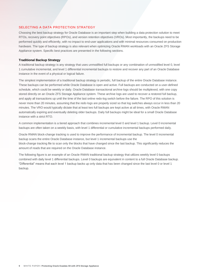# <span id="page-8-0"></span>SELECTING A DATA PROTECTION STRATEGY

Choosing the best backup strategy for Oracle Database is an important step when building a data protection solution to meet RTOs, recovery point objectives (RPOs), and version retention objectives (VROs). Most importantly, the backups need to be performed quickly and efficiently, with no impact to end-user applications and with minimal resources consumed on production hardware. The type of backup strategy is also relevant when optimizing Oracle RMAN workloads with an Oracle ZFS Storage Appliance system. Specific best practices are presented in the following sections.

### <span id="page-8-1"></span>**Traditional Backup Strategy**

A traditional backup strategy is any strategy that uses unmodified full backups or any combination of unmodified level 0, level 1 cumulative incremental, and level 1 differential incremental backups to restore and recover any part of an Oracle Database instance in the event of a physical or logical failure.

The simplest implementation of a traditional backup strategy is periodic, full backup of the entire Oracle Database instance. These backups can be performed while Oracle Database is open and active. Full backups are conducted on a user-defined schedule, which could be weekly or daily. Oracle Database transactional archive logs should be multiplexed, with one copy stored directly on an Oracle ZFS Storage Appliance system. These archive logs are used to recover a restored full backup, and apply all transactions up until the time of the last online redo-log switch before the failure. The RPO of this solution is never more than 20 minutes, assuming that the redo logs are properly sized so that log switches always occur in less than 20 minutes. The VRO would typically dictate that at least two full backups are kept active at all times, with Oracle RMAN automatically expiring and eventually deleting older backups. Daily full backups might be ideal for a small Oracle Database instance with a strict RTO.

A common implementation is a tiered approach that combines incremental level 0 and level 1 backup. Level 0 incremental backups are often taken on a weekly basis, with level 1 differential or cumulative incremental backups performed daily.

Oracle RMAN block-change tracking is used to improve the performance of incremental backup. The level 0 incremental backup scans the entire Oracle Database instance, but level 1 incremental backups use the block-change tracking file to scan only the blocks that have changed since the last backup. This significantly reduces the amount of reads that are required on the Oracle Database instance.

The following figure is an example of an Oracle RMAN traditional backup strategy that utilizes weekly level 0 backups combined with daily level 1 differential backups. Level 0 backups are equivalent in content to a full Oracle Database backup. "Differential" means that each level 1 backup backs up only data that has been changed since the last level 0 or level 1 backup.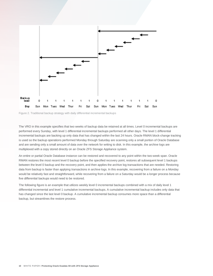

Figure 2. Traditional backup strategy with daily differential incremental backups

The VRO in this example specifies that two weeks of backup data be retained at all times. Level 0 incremental backups are performed every Sunday, with level 1 differential incremental backups performed all other days. The level 1 differential incremental backups are backing up only data that has changed within the last 24 hours. Oracle RMAN block-change tracking is used so the backup operations performed Monday through Saturday are scanning only a small portion of Oracle Database and are sending only a small amount of data over the network for writing to disk. In this example, the archive logs are multiplexed with a copy stored directly on an Oracle ZFS Storage Appliance system.

An entire or partial Oracle Database instance can be restored and recovered to any point within the two-week span. Oracle RMAN restores the most recent level 0 backup before the specified recovery point, restores all subsequent level 1 backups between the level 0 backup and the recovery point, and then applies the archive log transactions that are needed. Restoring data from backup is faster than applying transactions in archive logs. In this example, recovering from a failure on a Monday would be relatively fast and straightforward, while recovering from a failure on a Saturday would be a longer process because five differential backups would need to be restored.

The following figure is an example that utilizes weekly level 0 incremental backups combined with a mix of daily level 1 differential incremental and level 1 cumulative incremental backups. A cumulative incremental backup includes only data that has changed since the last level 0 backup. A cumulative incremental backup consumes more space than a differential backup, but streamlines the restore process.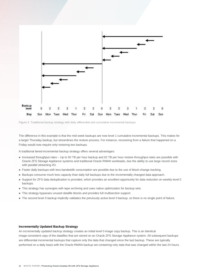

Figure 3. Traditional backup strategy with daily differential and cumulative incremental backups

The difference in this example is that the mid-week backups are now level 1 cumulative incremental backups. This makes for a larger Thursday backup, but streamlines the restore process. For instance, recovering from a failure that happened on a Friday would now require only restoring two backups.

A traditional tiered-incremental backup strategy offers several advantages:

- **»** Increased throughput rates Up to 50 TB per hour backup and 62 TB per hour restore throughput rates are possible with Oracle ZFS Storage Appliance systems and traditional Oracle RMAN workloads, due the ability to use large record sizes with parallel streaming I/O.
- **»** Faster daily backups with less bandwidth consumption are possible due to the use of block-change tracking.
- **»** Backups consume much less capacity than daily full backups due to the incrementally changed data approach.
- **»** Support for ZFS data deduplication is provided, which provides an excellent opportunity for data reduction on weekly level 0 backups.
- **»** This strategy has synergies with tape archiving and uses native optimization for backup sets.
- **»** This strategy bypasses unused datafile blocks and provides full multisection support.
- **»** The second level 0 backup implicitly validates the previously active level 0 backup, so there is no single point of failure.

# <span id="page-10-0"></span>**Incrementally Updated Backup Strategy**

An incrementally updated backup strategy creates an initial level 0 image copy backup. This is an identical image-consistent copy of the datafiles that are stored on an Oracle ZFS Storage Appliance system. All subsequent backups are differential incremental backups that capture only the data that changed since the last backup. These are typically performed on a daily basis with the Oracle RMAN backup set containing only data that was changed within the last 24 hours.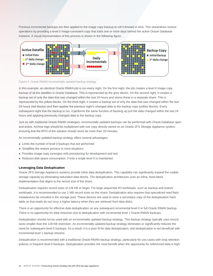Previous incremental backups are then applied to the image copy backup to roll it forward in time. This streamlines restore operations by providing a level 0 image-consistent copy that trails one or more days behind the active Oracle Database instance. A visual representation of this process is shown in the following figure.



Figure 4. Oracle RMAN incrementally updated backup strategy

In this example, an identical Oracle RMAN job is run every night. On the first night, the job creates a level 0 image copy backup of all the datafiles in Oracle Database. This is represented by the grey blocks. On the second night, it creates a backup set of only the data that was changed within the last 24 hours and stores these in a separate share. This is represented by the yellow blocks. On the third night, it creates a backup set of only the data that was changed within the last 24 hours (red blocks) and then applies the previous night's changed data to the backup copy (yellow blocks). Every subsequent night that the backup is run, it performs the same function of backing up just the data changed within the last 24 hours and applying previously changed data to the backup copy.

Just as with traditional Oracle RMAN strategies, incrementally updated backups can be performed with Oracle Database open and active. Archive logs should be multiplexed with one copy directly stored on an Oracle ZFS Storage Appliance system, ensuring that the RPO of the solution should never be more than 20 minutes.

An incrementally updated backup strategy offers several advantages:

- **»** Limits the number of level 0 backups that are performed
- **»** Simplifies the restore process in most situations
- **»** Provides image copy synergies with provisioning for development and test
- **»** Reduces disk space consumption, if only a single level 0 is maintained

# <span id="page-11-0"></span>**Leveraging Data Deduplication**

Oracle ZFS Storage Appliance systems provide inline data deduplication. This capability can significantly expand the usable storage capacity by eliminating redundant data blocks. The deduplication architecture uses an inline, fixed-block implementation that aligns to the record size of the share.

Deduplication requires record sizes of 128 KB or larger. For large sequential I/O workloads, such as backup and restore workloads, it is recommended to use 1 MB record sizes on the share. Deduplication also requires that specialized read flash metadevices be included in the storage pool. These devices are used to store a secondary copy of the deduplication hash table so that reads do not incur a higher latency when they are retrieved from data disks.

There is an opportunity for effective data deduplication on any subsequent incremental level 0 or full Oracle RMAN backup. There is no opportunity for data reduction due to deduplication with incremental level 1 Oracle RMAN backups.

Deduplication should not be used with an incrementally updated backup strategy. This backup strategy typically uses record sizes smaller than the 128 KB restriction. An incrementally updated backup strategy eliminates or significantly reduces the need for subsequent level 0 backups. As a result, it is a poor fit for data deduplication, and deduplication is not beneficial with incremental level 1 backup streams.

Deduplication is recommended with a traditional Oracle RMAN backup strategy, particularly for use cases with long retention policies or frequent level 0 backups. Deduplication provides the most benefit when the opportunity for referenced data is high.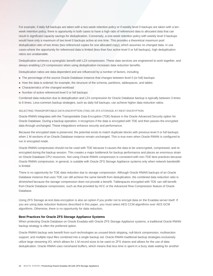For example, if daily full backups are taken with a two-week retention policy or if weekly level 0 backups are taken with a tenweek retention policy, there is opportunity in both cases to have a high ratio of referenced data to allocated data that can result in significant capacity savings for deduplication. Conversely, a one-week retention policy with weekly level 0 backups would have only a maximum of two level 0 backups active at one time. This provides a theoretical maximum pool deduplication ratio of two times (two referenced copies for one allocated copy), which assumes no changed data. In use cases where the opportunity for referenced data is limited (less than four active level 0 or full backups), high deduplication ratios are unattainable.

Deduplication achieves a synergistic benefit with LZ4 compression. These data services are engineered to work together, and always enabling LZ4 compression when using deduplication increases data reduction benefits.

Deduplication ratios are data-dependent and are influenced by a number of factors, including

- **»** The percentage of the source Oracle Database instance that changes between level 0 (or full) backups
- **»** How the data is ordered; for example, the structure of the schema, partitions, tablespaces, and tables
- **»** Characteristics of the changed workload
- **»** Number of active referenced level 0 or full backups

Combined data reduction due to deduplication and LZ4 compression for Oracle Database backup is typically between 3 times to 6 times. Less-common backup strategies, such as daily full backups, can achieve higher data reduction ratios.

### SELECTING TRANSPORTABLE DATA ENCRYPTION (TDE) OR ZFS STORAGE AT-REST ENCRYPTION

Oracle RMAN integrates with the Transportable Data Encryption (TDE) feature in the Oracle Advanced Security option for Oracle Database. During a backup operation, it recognizes if the data is encrypted with TDE and then passes the encrypted data through unchanged. These integrations enhance security and performance.

Because the encrypted state is preserved, the potential exists to match duplicate blocks with previous level 0 or full backups when 1 M sections of an Oracle Database instance remain unchanged. This is true even when Oracle RMAN is configured to run in encrypted mode.

Oracle RMAN compression should not be used with TDE because it causes the data to be unencrypted, compressed, and reencrypted during the backup session. This creates a major bottleneck for backup performance and places an enormous strain on Oracle Database CPU resources. Not using Oracle RMAN compression is consistent with non-TDE best practices because Oracle RMAN compression, in general, is suitable with Oracle ZFS Storage Appliance systems only when network bandwidth is limited.

There is no opportunity for TDE data reduction due to storage compression. Although Oracle RMAN backups of an Oracle Database instance that uses TDE can still achieve the same benefit from deduplication, the combined data reduction ratio is diminished because the storage compression does not provide a benefit. Tablespaces encrypted with TDE can still benefit from Oracle Database compression, such as that provided by HCC or the Advanced Row Compression feature of Oracle Database.

Using ZFS Storage at-rest data encryption is also an option if you prefer not to encrypt data on the Exadata server itself. If you are using data reduction features described in this paper, you must select AES CCM algorithms over AES GCM algorithms. Otherwise, there is no opportunity for data reduction**.**

# <span id="page-12-0"></span>**Best Practices for Oracle ZFS Storage Appliance Systems**

When protecting Oracle Database on Oracle Exadata with Oracle ZFS Storage Appliance systems, a traditional Oracle RMAN backup strategy is often the preferred option.

Oracle RMAN backup sets benefit from such technologies as unused-block skipping, null-block compression, multisection support, and multiple input files combined into a single backup set. Oracle RMAN traditional backup strategies exclusively utilize large streaming I/O, which allows for 1 M record sizes to be used on ZFS shares and allows for the use of data deduplication. Oracle RMAN uses nonshared buffers, which means that less time is spent in a busy state waiting for another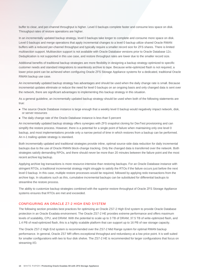buffer to clear, and per-channel throughput is higher. Level 0 backups complete faster and consume less space on disk. Throughput rates of restore operations are higher.

In an incrementally updated backup strategy, level 0 backups take longer to complete and consume more space on disk. Level 0 backups and merge operations that apply incremental changes to a level 0 backup utilize shared Oracle RMAN buffers with a reduced per-channel throughput and typically require a smaller record size for ZFS shares. There is limited multisection support. Multisection support is not available with Oracle Database versions prior to Oracle Database 12*c*. Deduplication is not supported in this use case, and restore throughput rates are lower due to the smaller record size.

Additional benefits of traditional backup strategies are more flexibility in designing a backup strategy optimized to specific customer needs and standard integrations to seamlessly archive to tape. Because write-optimized flash is not required, a lower price-point can be achieved when configuring Oracle ZFS Storage Appliance systems for a dedicated, traditional Oracle RMAN backup use case.

An incrementally updated backup strategy has advantages and should be used when the daily change rate is small. Because incremental updates eliminate or reduce the need for level 0 backups on an ongoing basis and only changed data is sent over the network, there are significant advantages to implementing this backup strategy in this situation.

As a general guideline, an incrementally updated backup strategy should be used when both of the following statements are true:

- **»** The source Oracle Database instance is large enough that a weekly level 0 backup would negatively impact network, disk, or server resources
- **»** The daily change rate of the Oracle Database instance is less than 5 percent

An incrementally updated backup strategy offers synergies with ZFS snapshot cloning for DevTest provisioning and can simplify the restore process. However, there is a potential for a single point of failure when maintaining only one level 0 backup, and most implementations provide only a narrow period of time in which restores from a backup can be performed. An n-1 trailing update strategy is standard.

Both incrementally updated and traditional strategies provide inline, optimal source-side data reduction for daily incremental backups due to the use of Oracle RMAN block-change tracking. Only the changed data is transferred over the network. Both strategies satisfy demanding RPOs, and there should never be more than 20 minutes between the failure point and the most recent archive log backup.

Applying archive log transactions is more resource-intensive than restoring backups. For an Oracle Database instance with stringent RTOs, a traditional incremental strategy might struggle to satisfy the RTOs if the failure occurs just before the next level 0 backup. In this case, multiple restore processes would be required, followed by applying redo transactions from the archive logs. In situations such as this, cumulative incremental backups can be substituted for differential backups to streamline the restore process.

The ability to customize backup strategies combined with the superior restore throughput of Oracle ZFS Storage Appliance systems ensures that RTOs are met and exceeded.

# <span id="page-13-0"></span>CONFIGURING AN ORACLE Z7-2 HIGH END SYSTEM

The following section provides best practices for optimizing an Oracle ZS7-2 High End system to provide Oracle Database protection in an Oracle Exadata environment. The Oracle ZS7-2 HE provides extreme performance and offers maximum levels of scalability, CPU, and DRAM. With the potential to scale up to 3 TB of DRAM, 37.5 TB of write-optimized flash, and 1.4 PB of read-optimized flash, this is a highly scalable platform that can support up to 16 PB of raw storage capacity.

The Oracle ZS7-2 High End system is recommended over the ZS7-2 Mid Range system for optimal RMAN backup performance. In general, Oracle ZS7 MR offers exceptional throughput and redundancy at a low price point. It is well suited for smaller configurations with two to four disk shelve. The ZS7-2 HE is recommended for larger configurations that focus on streaming I/O.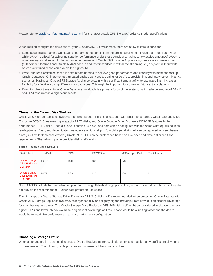Please refer to [oracle.com/storage/nas/index.html](https://www.oracle.com/storage/nas/index.html) for the latest Oracle ZFS Storage Appliance model specifications.

When making configuration decisions for your Exadata/ZS7-2 environment, there are a few factors to consider.

- **»** Large sequential streaming workloads generally do not benefit from the presence of write- or read-optimized flash. Also, while DRAM is critical for achieving superior performance under these conditions, having an excessive amount of DRAM is unnecessary and does not further improve performance. If Oracle ZFS Storage Appliance systems are exclusively used (100 percent) for traditional Oracle RMAN backup and restore workloads with large streaming I/O, a system without writeor read-optimized cache can provide the highest ROI.
- **»** Write- and read-optimized cache is often recommended to achieve good performance and usability with most nonbackup Oracle Database I/O, incrementally updated backup workloads, cloning for DevTest provisioning, and many other mixed I/O scenarios. Having an Oracle ZFS Storage Appliance system with a significant amount of write-optimized flash increases flexibility for effectively using different workload types. This might be important for current or future activity planning.
- **»** If running direct transactional Oracle Database workloads is a primary focus of the system, having a large amount of DRAM and CPU resources is a significant benefit.

### <span id="page-14-0"></span>**Choosing the Correct Disk Shelves**

Oracle ZFS Storage Appliance systems offer two options for disk shelves, both with similar price points. Oracle Storage Drive Enclosure DE3-24C features high-capacity 14 TB disks, and Oracle Storage Drive Enclosure DE3-24P features highperformance 1.2 TB disks. Each disk shelf contains 24 disks, and both can be configured with the same write-optimized flash, read-optimized flash, and deduplication metadevice options. (Up to four disks per disk shelf can be replaced with solid-state drive [SSD] write-flash accelerators.) Oracle ZS7-2 HE can be customized based on disk shelf and write-optimized flash requirements. The following table provides disk shelf details.

### **TABLE 1. DISK SHELF DETAILS**

| Disk Shelf                                                        | Size/Disk | <b>RPM</b> | <b>IOPS/Disk</b> | MB/sec per Disk | <b>Rack Units</b> |
|-------------------------------------------------------------------|-----------|------------|------------------|-----------------|-------------------|
| <b>Oracle Storage</b><br><b>Drive Enclosure</b><br><b>DE3-24P</b> | $1.2$ TB  | 10 K       | 160              | 170             |                   |
| <b>Uracle Storage</b><br><b>Drive Enclosure</b><br><b>DE3-24C</b> | 14 TB     | 7.2 K      | 120              | 200             | 4                 |

Note: All-SSD disk shelves are also an option for creating all-flash storage pools. They are not included here because they do not provide the recommended ROI for data protection use cases.

The high-capacity Oracle Storage Drive Enclosure DE3-24C disk shelf is recommended when protecting Oracle Exadata with Oracle ZFS Storage Appliance systems. Its larger capacity and slightly higher throughput rate provide a significant advantage for most backup use cases. The Oracle Storage Drive Enclosure DE3-24P disk shelf might be considered in situations where higher IOPS and lower latency would be a significant advantage or if rack space would be a limiting factor and the desire would be to maximize performance in a small, partial-rack configuration.

### <span id="page-14-1"></span>**Choosing a Storage Profile**

When a storage profile is selected to protect Oracle Exadata, mirrored, single-parity, and double-parity profiles are all worthy of consideration. The following table provides a comparison of the storage profiles.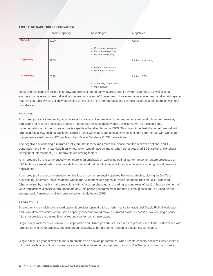### **TABLE 2. STORAGE PROFILE COMPARISON**

<span id="page-15-2"></span><span id="page-15-1"></span><span id="page-15-0"></span>

|                      | <b>Usable Capacity</b> | Advantages                                                                                                      | <b>Negatives</b>    |
|----------------------|------------------------|-----------------------------------------------------------------------------------------------------------------|---------------------|
| <b>Mirrored</b>      | 42.2%                  |                                                                                                                 | Costly              |
|                      |                        | Restore performance<br>$\boldsymbol{\mathcal{Y}}$<br><b>Maximum</b> protection<br>»<br>Maximum flexibility<br>» |                     |
| Single Parity        | 69.3%                  |                                                                                                                 | Limited redundancy  |
|                      |                        | Backup performance<br>»<br>Moderate flexibility<br>$\mathcal{V}$                                                |                     |
| <b>Double Parity</b> | 76.7%                  |                                                                                                                 | <b>Limited IOPS</b> |
|                      |                        | Streaming performance<br>»<br>Most efficient<br>$\gamma$                                                        |                     |

<span id="page-15-3"></span>Note: Useable capacity accounts for raw capacity lost due to parity, spares, and file system overhead, as well as small amounts of space lost on each disk due to operating system (OS) overhead, drive manufacturer overhead, and scratch space reservations. This will vary slightly depending on the size of the storage pool; this example assumes a configuration with four disk shelves.

### MIRRORED

A mirrored profile is a frequently recommended storage profile due to its strong redundancy trait and robust performance, particularly for restore processes. Because it generates twice as many virtual devices (vdevs) as a single-parity implementation, a mirrored storage pool is capable of handling far more IOPS. This gives it the flexibility to perform well with large sequential I/O, such as traditional Oracle RMAN workloads, and also achieve exceptional performance with workloads that generate small random I/O, such as direct Oracle Database OLTP transactions.

The negatives of choosing a mirrored profile are that it consumes more disk space than the other two options, and it generates more internal bandwidth on writes, which would have an impact when Serial Attached SCSI (SAS) or Peripheral Component Interconnect (PCI) bandwidth are limiting factors.

A mirrored profile is recommended when there is an emphasis on achieving optimal performance for restore processes or IOPS-intensive workloads. It can provide the shortest duration RTO possible for Oracle Database running critical business applications.

A mirrored profile is recommended when the focus is on incrementally updated backup strategies, cloning for DevTest provisioning, or direct Oracle Database workloads. With these use cases, if Oracle Database runs an OLTP workload (characterized by mostly small transactions with a focus on changing and reading existing rows of data) or has an element of write transactions dispersed throughout the day, this profile generates small random I/O that places an IOPS load on the storage pool. A mirrored profile is best suited to handle heavy IOPS.

### SINGLE PARITY

Single parity is a middle-of-the-road option. It provides optimal backup performance for traditional Oracle RMAN workloads and is an attractive option when usable capacity concerns would make a mirrored profile a poor fit. However, single parity might not provide the desired level of redundancy for certain use cases.

Single parity implements a narrow 3+1 stripe width and utilizes powerful ZFS features to provide exceptional performance with large streaming I/O operations, but also enough flexibility to handle some random or smaller I/O workloads.

Single parity is a good fit when there is an emphasis on backup performance; when usable capacity concerns would make a mirrored profile a poor fit; and when use cases such as incrementally updated backups, DevTest provisioning, and direct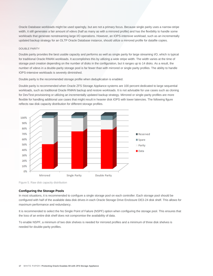Oracle Database workloads might be used sparingly, but are not a primary focus. Because single parity uses a narrow-stripe width, it still generates a fair amount of vdevs (half as many as with a mirrored profile) and has the flexibility to handle some workloads that generate nonstreaming large I/O operations. However, an IOPS-intensive workload, such as an incrementally updated backup strategy for an OLTP Oracle Database instance, should utilize a mirrored profile for datafile copies.

### DOUBLE PARITY

Double parity provides the best usable capacity and performs as well as single parity for large streaming I/O, which is typical for traditional Oracle RMAN workloads. It accomplishes this by utilizing a wide stripe width. The width varies at the time of storage pool creation depending on the number of disks in the configuration, but it ranges up to 14 disks. As a result, the number of vdevs in a double-parity storage pool is far fewer than with mirrored or single parity profiles. The ability to handle IOPS-intensive workloads is severely diminished.

Double parity is the recommended storage profile when deduplication is enabled.

Double parity is recommended when Oracle ZFS Storage Appliance systems are 100 percent dedicated to large sequential workloads, such as traditional Oracle RMAN backup and restore workloads. It is not advisable for use cases such as cloning for DevTest provisioning or utilizing an incrementally updated backup strategy. Mirrored or single-parity profiles are more flexible for handling additional use cases that might result in heavier disk IOPS with lower latencies. The following figure reflects raw disk capacity distribution for different storage profiles.



Figure 5. Raw disk capacity distribution

### <span id="page-16-0"></span>**Configuring the Storage Pools**

In most situations, it is recommended to configure a single storage pool on each controller. Each storage pool should be configured with half of the available data disk drives in each Oracle Storage Drive Enclosure DE3-24 disk shelf. This allows for maximum performance and redundancy.

It is recommended to select the No Single Point of Failure (NSPF) option when configuring the storage pool. This ensures that the loss of an entire disk shelf does not compromise the availability of data.

To enable NSPF, a minimum of two disk shelves is needed for mirrored profiles and a minimum of three disk shelves is needed for double-parity profiles.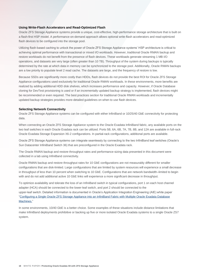### <span id="page-17-0"></span>**Using Write-Flash Accelerators and Read-Optimized Flash**

Oracle ZFS Storage Appliance systems provide a unique, cost-effective, high-performance storage architecture that is built on a flash-first HSP model. A performance-on-demand approach allows optional write-flash accelerators and read-optimized flash devices to be configured into the storage pool.

Utilizing flash-based caching to unlock the power of Oracle ZFS Storage Appliance systems' HSP architecture is critical to achieving optimal performance with transactional or mixed I/O workloads. However, traditional Oracle RMAN backup and restore workloads do not benefit from the presence of flash devices. These workloads generate streaming 1 MB I/O operations, and datasets are very large (often greater than 10 TB). Throughput of the system during backups is typically determined by the rate at which data in memory can be synchronized to the storage pool. Additionally, Oracle RMAN backups are a low priority to populate level 2 read cache. The datasets are large, and the frequency of restore is low.

Because SSDs are significantly more costly than HDDs, flash devices do not provide the best ROI for Oracle ZFS Storage Appliance configurations used exclusively for traditional Oracle RMAN workloads. In these environments, more benefits are realized by adding additional HDD disk shelves, which increases performance and capacity. However, if Oracle Database cloning for DevTest provisioning is used or if an incrementally updated backup strategy is implemented, flash devices might be recommended or even required. The best practices section for traditional Oracle RMAN workloads and incrementally updated backup strategies provides more-detailed guidelines on when to use flash devices.

### <span id="page-17-1"></span>**Selecting Network Connectivity**

Oracle ZFS Storage Appliance systems can be configured with either InfiniBand or 10/25/40 GbE connectivity for protecting data.

When connecting an Oracle ZFS Storage Appliance system to the Oracle Exadata InfiniBand fabric, any available ports on the two leaf switches in each Oracle Exadata rack can be utilized. Ports 5B, 6A, 6B, 7A, 7B, 8B, and 12A are available in full-rack Oracle Exadata Storage Expansion X6-2 configurations. In partial-rack configurations, additional ports are available.

Oracle ZFS Storage Appliance systems can integrate seamlessly by connecting to the two InfiniBand leaf switches (Oracle's Sun Datacenter InfiniBand Switch 36) that are preconfigured in the Oracle Exadata rack.

The Oracle RMAN backup and restore throughput rates and performance-sizing data presented in this document were collected in a lab using InfiniBand connectivity.

Oracle RMAN backup and restore throughput rates for 10 GbE configurations are not measurably different for smaller configurations that are disk-limited. Large configurations that are limited by system resources will experience a small decrease in throughput of less than 10 percent when switching to 10 GbE. Configurations that are network bandwidth–limited to begin with and do not add additional active 10 GbE links will experience a more significant decrease in throughput.

To optimize availability and tolerate the loss of an InfiniBand switch in typical configurations, port 1 on each host channel adapter (HCA) should be connected to the lower-leaf switch, and port 2 should be connected to the upper-leaf switch. Detailed information is documented in Oracle's Application Integration Engineering (AIE) white paper "Configuring a Single [Oracle ZFS Storage Appliance into an InfiniBand Fabric with](http://www.oracle.com/technetwork/server-storage/sun-unified-storage/documentation/multiple-exadata-zfssa-121013-2080035.pdf) Multiple Oracle Exadata Database [Machines."](http://www.oracle.com/technetwork/server-storage/sun-unified-storage/documentation/multiple-exadata-zfssa-121013-2080035.pdf)

In some environments, 10/40 GbE is a better choice. Some examples of these situations include distance limitations that make InfiniBand deployments prohibitive or backing up five or more isolated Oracle Exadata systems to a single Oracle ZS7 system.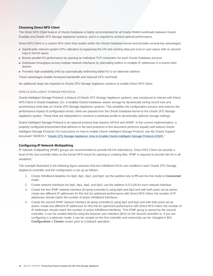# <span id="page-18-0"></span>**Choosing Direct NFS Client**

The Direct NFS Client feature of Oracle Database is highly recommended for all Oracle RMAN workloads between Oracle Exadata and Oracle ZFS Storage Appliance systems, and it is required to achieve optimal performance.

Direct NFS Client is a custom NFS client that resides within the Oracle Database kernel and provides several key advantages:

- **»** Significantly reduces system CPU utilization by bypassing the OS and caching data just once in user space with no second copy in kernel space
- **»** Boosts parallel I/O performance by opening an individual TCP connection for each Oracle Database process
- **»** Distributes throughput across multiple network interfaces by alternating buffers to multiple IP addresses in a round-robin fashion
- **»** Provides high availability (HA) by automatically redirecting failed I/O to an alternate address

These advantages enable increased bandwidth and reduced CPU overhead.

No additional steps are required on Oracle ZFS Storage Appliance systems to enable Direct NFS Client.

### ORACLE INTELLIGENT STORAGE PROTOCOL

Oracle Intelligent Storage Protocol, a feature of Oracle ZFS Storage Appliance systems, was introduced to interact with Direct NFS Client in Oracle Database 12*c*. It enables Oracle Database–aware storage by dynamically tuning record size and synchronous write bias on Oracle ZFS Storage Appliance systems. This simplifies the configuration process and reduces the performance impact of configuration errors. Hints are passed from the Oracle Database kernel to the Oracle ZFS Storage Appliance system. These hints are interpreted to construct a workload profile to dynamically optimize storage settings.

Oracle Intelligent Storage Protocol is an optional protocol that requires NFSv4 and SNMP. In the current implementation, a properly configured environment that adheres to the best practices in this document performs equally well without Oracle Intelligent Storage Protocol. For instructions on how to enable Oracle Intelligent Storage Protocol, see My Oracle Support document 1943618.1 ["Oracle ZFS Storage Appliance: How to Enable Oracle Intelligent Storage Protocol \(OISP\).](https://support.oracle.com/epmos/faces/DocumentDisplay?id=1943618.1)"

### <span id="page-18-1"></span>**Configuring IP Network Multipathing**

IP network multipathing (IPMP) groups are recommended to provide full HA redundancy. Direct NFS Client can provide a level of HA, but currently relies on the kernel NFS mount for opening or creating files. IPMP is required to provide full HA in all situations.

The example illustrated in the following figure assumes that two InfiniBand HCAs are installed in each Oracle ZFS Storage Appliance controller and the configuration is set up as follows:

- 1. Create InfiniBand datalinks for ibp0, ibp1, ibp2, and ibp3; set the partition key to ffff and the link mode to **Connected** mode.
- 2. Create network interfaces for ibp0, ibp1, ibp2, and ibp3; use the address 0.0.0.0/8 for each network interface.
- 3. Create the first IPMP network interface (ib-ipmp-controller1) using ibp0 and ibp3 and with both ports set as active; create two different IP addresses for this link for optimized performance with Direct NFS Client; the number of IP addresses should match the number of active InfiniBand interfaces.
- 4. Create the second IPMP network interface (ib-ipmp-controller2) using ibp1 and ibp2 and with both ports set as active; create two different IP addresses for this link for optimized performance with Direct NFS Client; the number of IP addresses should match the number of active InfiniBand interfaces. This IPMP group is owned by the second controller. It can be created directly using the browser user interface (BUI) on the second controller or, if you are configuring in a takeover mode, it can be created on the first controller and ownership can be changed in BUI **Configuration > Cluster** screen prior to a failback operation.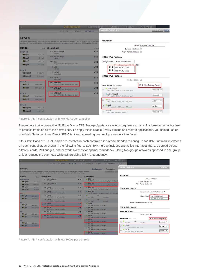| ω                                      |               | Configurations                                                                                                                                                                                                                               | <b>Maintenance</b> | <b>Shares</b><br>Status                                       | Analytics               |
|----------------------------------------|---------------|----------------------------------------------------------------------------------------------------------------------------------------------------------------------------------------------------------------------------------------------|--------------------|---------------------------------------------------------------|-------------------------|
|                                        |               | STORAGE<br><b>SERVICES</b>                                                                                                                                                                                                                   | <b>NETWORK</b>     | <b>Network Interface</b>                                      | CANCEL AP               |
| Network                                |               |                                                                                                                                                                                                                                              |                    |                                                               |                         |
|                                        |               | To configure networking, build Datalinks on Devices, and Interfaces on Datalinks. Click on a pencil icon to edit obje-<br>an object to view its relationship to other objects. Drag objects to extend Aggregations or IP Multipathing Groups |                    | Properties                                                    |                         |
| <b>Devices</b>                         | 12 total      | <b>O</b> Datalinks                                                                                                                                                                                                                           | 9 total            | Name<br>Enable Interface                                      | ib-ipmp-controller1     |
| <b>BUILT-IN</b>                        |               | <- > aie-h1-mnot                                                                                                                                                                                                                             | 20                 | Allow Administration                                          |                         |
| www job0                               | 1Gb (full)    | VIB <b>YOU</b>                                                                                                                                                                                                                               |                    |                                                               |                         |
| $M$ icb1                               | 1Gb (full)    | <- > ai+-h2-mngt<br>VIS IOD T                                                                                                                                                                                                                | 8                  | Use IPv4 Protocol                                             |                         |
| <b>M</b> igb2                          | 1Gb (full)    | oo ibn2                                                                                                                                                                                                                                      | 20                 | Configure with: Static Address List .                         |                         |
| <b>Building</b>                        | 1Gb (ful)     | pkey(ffff), Link Mode(cm), via ibp2                                                                                                                                                                                                          |                    | <b>Hitchfood (24)</b>                                         |                         |
|                                        |               | $\leftrightarrow$ iab2<br>Sido alla                                                                                                                                                                                                          | 4 <sub>0</sub>     | ○ ○ 192.168.10.11/22                                          |                         |
| PCle <sub>2</sub><br><b>Fig</b> ixobe0 | link down     | Gedpix 4-9                                                                                                                                                                                                                                   | 2 <sub>0</sub>     | ۰<br>$\bigcirc$ 192.168.10.12/22                              |                         |
| <b>Sill</b> ixabe 1                    | link down     | vis sepbe0                                                                                                                                                                                                                                   |                    | Use IPv6 Protocol                                             |                         |
|                                        |               | <- > ixabe1<br>via ocobet.                                                                                                                                                                                                                   | 8T                 | Interface State up                                            |                         |
| PCle 4                                 |               | oo pfff-ibp0                                                                                                                                                                                                                                 | 20                 |                                                               |                         |
| <b>Milbou</b>                          | 32Gb (port 1) | play(ffff), Link Mode(cm), via ibp0                                                                                                                                                                                                          |                    | Interfaces 5/9 available                                      | ■ IP MultiPathing Group |
| mibp1                                  | 32Gb (port 2) | o-o pfff ibp1<br>play(ffff), Link Mode(cm), via ibp1                                                                                                                                                                                         | $\ell$             | aie-h1-momt<br>E<br>IPv4 static, 10.80.74.204/23, via igb0    | Unused .                |
| PCIe 5                                 |               | oo pfff ibp3<br>pleviffff), Link Modelcm), via lbp3                                                                                                                                                                                          | 40                 | aie-h2-mamt                                                   |                         |
| meibo <sub>2</sub>                     | 32Gb (port 1) |                                                                                                                                                                                                                                              |                    | IPv4 static, 10.80.74.206/23, via igb1                        | Unused <b>v</b>         |
| milibp3                                | 32Gb (port 2) |                                                                                                                                                                                                                                              |                    | <b>a</b> ibp0<br>V.<br>IPv4 static, 0.0.0.0/8, via pffff ibp0 | Active                  |
| PCle 6                                 |               |                                                                                                                                                                                                                                              |                    | $^-$ ibo3<br>$\overline{\phantom{a}}$                         | Active                  |
| <b>Wixobe2</b>                         | 10Gb (full)   |                                                                                                                                                                                                                                              |                    | Pv4 static, 8 0.0.0/8, vis pffff, ibp3.                       |                         |
| <b>Mixobe3</b>                         | 10Gb (ful)    |                                                                                                                                                                                                                                              |                    | $@$ igb2<br>IPv4 static, disabled, via igb2                   | Unused <b>v</b>         |

Figure 6. IPMP configuration with two HCAs per controller

Please note that active/active IPMP on Oracle ZFS Storage Appliance systems requires as many IP addresses as active links to process traffic on all of the active links. To apply this in Oracle RMAN backup and restore applications, you should use an oranfstab file to configure Direct NFS Client load spreading over multiple network interfaces.

If four InfiniBand or 10 GbE cards are installed in each controller, it is recommended to configure two IPMP network interfaces on each controller, as shown in the following figure. Each IPMP group includes two active interfaces that are spread across different cards, PCI bridges, and network switches for optimal redundancy. Using two groups of two as opposed to one group of four reduces the overhead while still providing full HA redundancy.

|                            |               |                                                                                                                                                                                                                                                                   |                | Configuration<br><b>Addresses</b>                                            | CANCEL<br>Network Interface                                 |
|----------------------------|---------------|-------------------------------------------------------------------------------------------------------------------------------------------------------------------------------------------------------------------------------------------------------------------|----------------|------------------------------------------------------------------------------|-------------------------------------------------------------|
|                            |               | To configure networking, build Datalinks on Devices, and Interfaces on Datalinks. Click on a pencil icon to edit object properties.<br>Select an object to view its relationship to other objects. Drag objects to extend Aggregations or IP Multipathing Groups. |                | REVERT                                                                       |                                                             |
| <b>Devices</b>             | 12 total      | <b>O</b> Datalinks                                                                                                                                                                                                                                                |                | <b>O</b> Interfaces                                                          | Properties                                                  |
|                            |               | <- > datalink ixqbe3                                                                                                                                                                                                                                              | 10 total<br>20 | @ IPMP1-h1                                                                   | Name IPMP2-h1                                               |
| Motherboard<br>will ixqbe2 | 1Gb (full)    | via bigbe3                                                                                                                                                                                                                                                        |                | IPMP, IPv4 static, 2 addresses, via pffff, ibp3, pffff, ibp0                 | Enable Interface                                            |
| will ixqbe3                | 100Mb (full)  | <-- > datalink-ixgbe2<br>via ixqbe2                                                                                                                                                                                                                               | 20             | $D$ IPMP2-h1<br>IPMP, IPv4 static, 2 addresses, via pffff, ibp7, pffff, ibp4 | Allow Administration                                        |
| <b>Mill</b> ixgbe4         | link down     | oo ibp0-h1                                                                                                                                                                                                                                                        | 20             | <b>a</b> IPMP3-h2                                                            | Use IPv4 Protocol                                           |
| the ixqbe5                 | link down     | pkey(ffff), Link Mode(cm), via ibp0                                                                                                                                                                                                                               |                | IPMP, IPv4 static, 2 addresses; via pffff, ibp2, pffff, ibp1                 |                                                             |
|                            |               | oo ibp1-h2<br>pkey(ffff), Link Mode(cm), via ibp1                                                                                                                                                                                                                 | 20             | $DIPMP4-h2$<br>IPMP, IPv4 static, 2 addresses, via pffff ibp6, pffff ibp5    | Configure with<br>Static Address List v                     |
| PCIe 1                     |               | oo ibp2-h2                                                                                                                                                                                                                                                        | 20             | mat                                                                          | 192 168 1 2/24                                              |
| m ibp4                     | 32Gb (port 1) | pkey(ffff), Link Mode(cm), via ibp2                                                                                                                                                                                                                               |                | IPv4 static<br>via ixgbe3                                                    | 192.168.20.235/22<br>Address/Mask                           |
| m ibp5                     | 32Gb (port 2) | oo ibp3-h1<br>pkey(ffff), Link Mode(cm), via ibp3                                                                                                                                                                                                                 | 20             | mat<br>IPv4 static<br>via kobe2                                              | 192.168.20.237/22                                           |
| <b>PCIe 10</b>             |               | oo ibp4-h1                                                                                                                                                                                                                                                        | 20             | $o$ ibp0-h1                                                                  | Directly Reachable Network(s) $\bullet$                     |
| m ibp0                     | 32Gb (port 1) | pkey(ffff), Link Mode(cm), via ibp4                                                                                                                                                                                                                               |                | IPv4 static, 0.0.0.0/8, via pffff, appD                                      |                                                             |
| million1                   | 32Gb (port 2) | oo ibp5-h2<br>pkey(ffff), Link Mode(cm), via ibp5                                                                                                                                                                                                                 | 1回             | $\circ$ ibp1-h2<br>IPv4 static, 0.0.0.0/8, via pffff, ibp1                   | Use IPv6 Protocol                                           |
| PCIe 5                     |               | oo ibo6-h2                                                                                                                                                                                                                                                        | 20             | $\bullet$ ibp2-h2                                                            | <b>Interface Status</b>                                     |
| me <sub>lbp2</sub>         | 32Gb (port 1) | pkey(ffff), Link Mode(cm), via bp6                                                                                                                                                                                                                                |                | IPv4 static, 0.0.0.0/8, via pffff ibp2.                                      | Interface State up                                          |
| m ibp3                     | 32Gb (port 2) | oo ibp7-h1<br>pkey(ffff), Link Mode(cm), via lop7                                                                                                                                                                                                                 | 10             | $0$ ibp3-h1<br>IPv4 static, 0.0.0.0/8, via pffff. ibp3                       | IP MultiPathing Group<br>Interfaces 3/14 available          |
| PCIe 8                     |               |                                                                                                                                                                                                                                                                   |                | <b>Charles</b><br>IPv4 state, 0.0.0.0/8, via pffff. ibp4                     | mat                                                         |
| <b>Milbp6</b>              | 32Gb (port 1) |                                                                                                                                                                                                                                                                   |                | $\Box$ loo5-h2                                                               | Unused v<br>IPv4 static<br>via ixgbe3                       |
| $m$ ibp7                   | 32Gb (port 2) |                                                                                                                                                                                                                                                                   |                | IPv4 static, 0.0.0.0/8, via pffff, ibp5                                      | $ibp4-h1$<br>$\overline{\bullet}$<br>Active<br>$\mathbf{v}$ |
|                            |               |                                                                                                                                                                                                                                                                   |                | $0$ ibp6-h <sub>2</sub>                                                      | IPv4 static, 0.0.0.0/8, via pffff_ibp4                      |
|                            |               |                                                                                                                                                                                                                                                                   |                | IPv4 static, 0.0.0.0/8, via pffff_bp6                                        | ibp7-h1<br>$\overline{\mathcal{L}}$<br>Active<br>⊶          |
|                            |               |                                                                                                                                                                                                                                                                   |                | $-1007461$                                                                   | IPv4 static, 0.0.0.0/8, via pffff, ibp7                     |

Figure 7. IPMP configuration with four HCAs per controller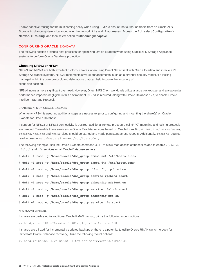Enable adaptive routing for the multihoming policy when using IPMP to ensure that outbound traffic from an Oracle ZFS Storage Appliance system is balanced over the network links and IP addresses. Access the BUI, select **Configuration > Network > Routing**, and then select option **multihoming=adaptive**.

# <span id="page-20-0"></span>CONFIGURING ORACLE EXADATA

The following section provides best practices for optimizing Oracle Exadata when using Oracle ZFS Storage Appliance systems to perform Oracle Database protection.

### <span id="page-20-1"></span>**Choosing NFSv3 or NFSv4**

NFSv3 and NFSv4 are both excellent protocol choices when using Direct NFS Client with Oracle Exadata and Oracle ZFS Storage Appliance systems. NFSv4 implements several enhancements, such as a stronger security model, file locking managed within the core protocol, and delegations that can help improve the accuracy of client-side caching.

NFSv4 incurs a more significant overhead. However, Direct NFS Client workloads utilize a large packet size, and any potential performance impact is negligible in this environment. NFSv4 is required, along with Oracle Database 12*c*, to enable Oracle Intelligent Storage Protocol.

# ENABLING NFS ON ORACLE EXADATA

When only NFSv4 is used, no additional steps are necessary prior to configuring and mounting the share(s) on Oracle Exadata for Oracle Database.

If support for NFSv3 or NFSv2 connectivity is desired, additional remote procedure call (RPC) mounting and locking protocols are needed. To enable these services on Oracle Exadata versions based on Oracle Linux 6 (cat /etc/redhat-*release*), rpcbind, nfslock and nfs services should be started and made persistent across reboots. Additionally, rpcbind requires read access to /etc/hosts.allow and /etc/hosts.deny.

The following example uses the Oracle Exadata command dcli to allow read access of these files and to enable rpcbind, nfslock and nfs services on all Oracle Database servers.

# **dcli -l root -g /home/oracle/dbs\_group chmod 644 /etc/hosts.allow**

# **dcli -l root -g /home/oracle/dbs\_group chmod 644 /etc/hosts.deny**

# **dcli -l root -g /home/oracle/dbs\_group chkconfig rpcbind on**

# **dcli -l root -g /home/oracle/dbs\_group service rpcbind start**

```
# dcli -l root -g /home/oracle/dbs_group chkconfig nfslock on
```
# **dcli -l root -g /home/oracle/dbs\_group service nfslock start**

```
# dcli -l root -g /home/oracle/dbs_group chkconfig nfs on
```
# **dcli -l root -g /home/oracle/dbs\_group service nfs start**

# NFS MOUNT OPTIONS

If shares are dedicated to traditional Oracle RMAN backup, utilize the following mount options:

rw,hard,rsize=1048576,wsize=1048576,tcp,vers=4,timeo=600

If shares are utilized for incrementally updated backups or there is a potential to utilize Oracle RMAN switch-to-copy for immediate Oracle Database recovery, utilize the following mount options:

rw,hard,rsize=32768,wsize=32768,tcp,actimeo=0,vers=3,timeo=600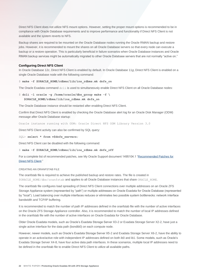Direct NFS Client does not utilize NFS mount options. However, setting the proper mount options is recommended to be in compliance with Oracle Database requirements and to improve performance and functionality if Direct NFS Client is not available and the system reverts to NFS.

Backup shares are required to be mounted on the Oracle Database nodes running the Oracle RMAN backup and restore jobs. However, it is recommended to mount the shares on all Oracle Database servers so that every node can execute a backup or a restore operation. This is particularly beneficial in failure scenarios when Oracle Database instances and Oracle RMAN backup services might be automatically migrated to other Oracle Database servers that are not normally "active on."

### <span id="page-21-0"></span>**Configuring Direct NFS Client**

In Oracle Database 12*c*, Direct NFS Client is enabled by default. In Oracle Database 11*g*, Direct NFS Client is enabled on a single Oracle Database node with the following command:

\$ **make -f \$ORACLE\_HOME/rdbms/lib/ins\_rdbms.mk dnfs\_on**

The Oracle Exadata command dcli is used to simultaneously enable Direct NFS Client on all Oracle Database nodes:

```
$ dcli -l oracle -g /home/oracle/dbs_group make -f \
    $ORACLE_HOME/rdbms/lib/ins_rdbms.mk dnfs_on
```
The Oracle Database instance should be restarted after enabling Direct NFS Client.

Confirm that Direct NFS Client is enabled by checking the Oracle Database alert log for an Oracle Disk Manager (ODM) message after Oracle Database startup:

Oracle instance running with ODM: Oracle Direct NFS ODM Library Version 3.0

Direct NFS Client activity can also be confirmed by SQL query:

```
SQL> select * from v$dnfs_servers;
```
Direct NFS Client can be disabled with the following command:

\$ **make -f \$ORACLE\_HOME/rdbms/lib/ins\_rdbms.mk dnfs\_off**

For a complete list of recommended patches, see My Oracle Support document 1495104.1 ["Recommended Patches for](https://support.oracle.com/epmos/faces/DocumentDisplay?id=1495104.1)  [Direct NFS Client.](https://support.oracle.com/epmos/faces/DocumentDisplay?id=1495104.1)"

### CREATING AN ORANFSTAB FILE

The oranfstab file is required to achieve the published backup and restore rates. The file is created in \$ORACLE\_HOME/dbs/oranfstab and applies to all Oracle Database instances that share ORACLE\_HOME.

The oranfstab file configures load spreading of Direct NFS Client connections over multiple addresses on an Oracle ZFS Storage Appliance system (represented by "path") or multiple addresses on Oracle Exadata for Oracle Database (represented by "local"). Load balancing over multiple interfaces reduces or eliminates two possible system bottlenecks: network interface bandwidth and TCP/IP buffering.

It is recommended to match the number of path IP addresses defined in the oranfstab file with the number of active interfaces on the Oracle ZFS Storage Appliance controller. Also, it is recommended to match the number of local IP addresses defined in the oranfstab file with the number of active interfaces on Oracle Exadata for Oracle Database.

Older Oracle Exadata models, such as Oracle's Exadata Storage Server X3-2 or Exadata Storage Server X2-2, have just a single active interface for the data path (bondib0) on each compute node.

However, newer models, such as Oracle's Exadata Storage Server X5-2 and Exadata Storage Server X6-2, have the ability to operate in an active/active role with independent IP addresses defined on both ib0 and ib1. Some models, such as Oracle's Exadata Storage Server X4-8, have four active data path interfaces. In these scenarios, multiple local IP addresses need to be defined in the oranfstab file to enable Direct NFS Client to utilize all available paths.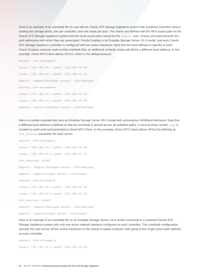Here is an example of an oranfstab file for use with an Oracle ZFS Storage Appliance system with clustered controllers that is hosting two storage pools, one per controller, and one share per pool. The shares are defined with the NFS export path on the Oracle ZFS Storage Appliance system and the local mount point owned by the oracle user. Shares are listed beneath the path addresses with which they are associated. Oracle Exadata is an Exadata Storage Server X3-2 model, and each Oracle ZFS Storage Appliance controller is configured with two active interfaces. Note that the local address is specific to each Oracle Exadata compute node so that oranfstab files on additional compute nodes will define a different local address. In this example, Direct NFS Client utilizes NFSv3, which is the default protocol.

```
server: zfs-storage-a
local: 192.168.10.1 path: 192.168.10.50
local: 192.168.10.1 path: 192.168.10.51
export: /export/backup1 mount: /zfs/backup1
server: zfs-storage-b
local: 192.168.10.1 path: 192.168.10.52
local: 192.168.10.1 path: 192.168.10.53
export: /export/backup2 mount: /zfs/backup2
```
Here is a similar example that uses an Exadata Storage Server X6-2 model with active/active InfiniBand interfaces. Note that a different local address is defined so that the workload is spread across all available paths. A second share named  $_{\rm copy}$  is created on each pool and presented to Direct NFS Client. In this example, Direct NFS Client utilizes NFSv4 by defining an nfs\_version parameter for each server.

```
server: zfs-storage-a
local: 192.168.10.1 path: 192.168.10.50
local: 192.168.10.2 path: 192.168.10.51
nfs_version: nfsv4
export: /export/backup1 mount: /zfs/backup1
export: /export/copy1 mount: /zfs/copy1
server: zfs-storage-b
local: 192.168.10.1 path: 192.168.10.52
local: 192.168.10.2 path: 192.168.10.53
nfs_version: nfsv4
export: /export/backup2 mount: /zfs/backup2
export: /export/copy2 mount: /zfs/copy2
```
Here is an example of an oranfstab file on an Exadata Storage Server X4-8 model connected to a clustered Oracle ZFS Storage Appliance system with only one active network interface configured on each controller. This oranfstab configuration spreads the load across all four active interfaces on the Oracle Exadata compute node going to the single active path address on each controller.

```
server: zfs-storage-a
local: 192.168.10.1 path: 192.168.10.50
```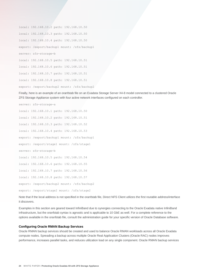local: 192.168.10.2 path: 192.168.10.50 local: 192.168.10.3 path: 192.168.10.50 local: 192.168.10.4 path: 192.168.10.50 export: /export/backup1 mount: /zfs/backup1 server: zfs-storage-b local: 192.168.10.5 path: 192.168.10.51 local: 192.168.10.6 path: 192.168.10.51 local: 192.168.10.7 path: 192.168.10.51 local: 192.168.10.8 path: 192.168.10.51 export: /export/backup2 mount: /zfs/backup2

Finally, here is an example of an oranfstab file on an Exadata Storage Server X4-8 model connected to a clustered Oracle ZFS Storage Appliance system with four active network interfaces configured on each controller.

server: zfs-storage-a local: 192.168.10.1 path: 192.168.10.50 local: 192.168.10.2 path: 192.168.10.51 local: 192.168.10.3 path: 192.168.10.52 local: 192.168.10.4 path: 192.168.10.53 export: /export/backup1 mount: /zfs/backup1 export: /export/stage1 mount: /zfs/stage1 server: zfs-storage-b local: 192.168.10.5 path: 192.168.10.54 local: 192.168.10.6 path: 192.168.10.55 local: 192.168.10.7 path: 192.168.10.56 local: 192.168.10.8 path: 192.168.10.57 export: /export/backup2 mount: /zfs/backup2 export: /export/stage2 mount: /zfs/stage2

Note that if the local address is not specified in the oranfstab file, Direct NFS Client utilizes the first routable address/interface it discovers.

Examples in this section are geared toward InfiniBand due to synergies connecting to the Oracle Exadata native InfiniBand infrastructure, but the oranfstab syntax is agnostic and is applicable to 10 GbE as well. For a complete reference to the options available in the oranfstab file, consult the administration guide for your specific version of Oracle Database software.

# <span id="page-23-0"></span>**Configuring Oracle RMAN Backup Services**

Oracle RMAN backup services should be created and used to balance Oracle RMAN workloads across all Oracle Exadata compute nodes. Spreading a backup across multiple Oracle Real Application Clusters (Oracle RAC) nodes improves performance, increases parallel tasks, and reduces utilization load on any single component. Oracle RMAN backup services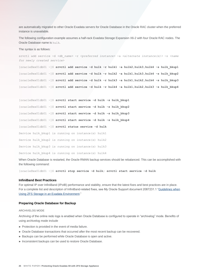are automatically migrated to other Oracle Exadata servers for Oracle Database in the Oracle RAC cluster when the preferred instance is unavailable.

The following configuration example assumes a half-rack Exadata Storage Expansion X6-2 with four Oracle RAC nodes. The Oracle Database name is hulk.

The syntax is as follows:

srvctl add service -d <db name> -r <preferred instance> -a <alternate instance(s)> -s <name *for newly created service>*

[oracle@ex01db01 ~]\$ **srvctl add service -d hulk -r hulk1 -a hulk2,hulk3,hulk4 -s hulk\_bkup1** [oracle@ex01db01 ~]\$ **srvctl add service -d hulk -r hulk2 -a hulk1,hulk3,hulk4 -s hulk\_bkup2** [oracle@ex01db01 ~]\$ **srvctl add service -d hulk -r hulk3 -a hulk1,hulk2,hulk4 -s hulk\_bkup3** [oracle@ex01db01 ~]\$ **srvctl add service -d hulk -r hulk4 -a hulk1,hulk2,hulk3 -s hulk\_bkup4**

```
[oracle@ex01db01 ~]$ srvctl start service -d hulk -s hulk_bkup1
[oracle@ex01db01 ~]$ srvctl start service -d hulk -s hulk_bkup2
[oracle@ex01db01 ~]$ srvctl start service -d hulk -s hulk_bkup3
[oracle@ex01db01 ~]$ srvctl start service -d hulk -s hulk_bkup4
[oracle@ex01db01 ~]$ srvctl status service -d hulk
Service hulk bkup1 is running on instance(s) hulk1
Service hulk bkup2 is running on instance(s) hulk2
Service hulk bkup3 is running on instance(s) hulk3
Service hulk_bkup4 is running on instance(s) hulk4
```
When Oracle Database is restarted, the Oracle RMAN backup services should be rebalanced. This can be accomplished with the following command:

[oracle@ex01db01 ~]\$ **srvctl stop service -d hulk; srvctl start service -d hulk**

### <span id="page-24-0"></span>**InfiniBand Best Practices**

For optimal IP over InfiniBand (IPoIB) performance and stability, ensure that the latest fixes and best practices are in place. For a complete list and description of InfiniBand-related fixes, see My Oracle Support document 2087231.1 "Guidelines when [Using ZFS Storage in an Exadata Environment.](https://support.oracle.com/epmos/faces/DocumentDisplay?id=2087231.1)"

### <span id="page-24-1"></span>**Preparing Oracle Database for Backup**

### ARCHIVELOG MODE

Archiving of the online redo logs is enabled when Oracle Database is configured to operate in "archivelog" mode. Benefits of using archivelog mode include

- **»** Protection is provided in the event of media failure.
- **»** Oracle Database transactions that occurred after the most recent backup can be recovered.
- **»** Backups can be performed while Oracle Database is open and active.
- **»** Inconsistent backups can be used to restore Oracle Database.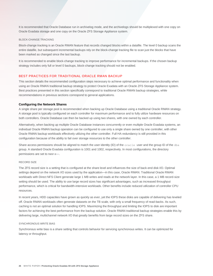It is recommended that Oracle Database run in archivelog mode, and the archivelogs should be multiplexed with one copy on Oracle Exadata storage and one copy on the Oracle ZFS Storage Appliance system.

### BLOCK-CHANGE TRACKING

Block-change tracking is an Oracle RMAN feature that records changed blocks within a datafile. The level 0 backup scans the entire datafile, but subsequent incremental backups rely on the block-change tracking file to scan just the blocks that have been marked as changed since the last backup.

It is recommended to enable block-change tracking to improve performance for incremental backups. If the chosen backup strategy includes only full or level 0 backups, block-change tracking should not be enabled.

# <span id="page-25-0"></span>BEST PRACTICES FOR TRADITIONAL ORACLE RMAN BACKUP

This section details the recommended configuration steps necessary to achieve optimal performance and functionality when using an Oracle RMAN traditional backup strategy to protect Oracle Exadata with an Oracle ZFS Storage Appliance system. Best practices presented in this section specifically correspond to traditional Oracle RMAN backup strategies, while recommendations in previous sections correspond to general applications.

### <span id="page-25-1"></span>**Configuring the Network Shares**

A single share per storage pool is recommended when backing up Oracle Database using a traditional Oracle RMAN strategy. A storage pool is typically configured on each controller for maximum performance and to fully utilize hardware resources on both controllers. Oracle Database can then be backed up using two shares, with one owned by each controller.

Alternatively, when backing up multiple Oracle Database instances concurrently or even multiple Oracle Exadata systems, an individual Oracle RMAN backup operation can be configured to use only a single share owned by one controller, with other Oracle RMAN backup workloads effectively utilizing the other controller. Full HA redundancy is still provided in this configuration because of the ability to fail over storage resources to the other controller.

Share access permissions should be aligned to match the user identity (ID) of the oracle user and the group ID of the dba group. A standard Oracle Exadata configuration is 1001 and 1002, respectively. In most configurations, the directory permissions are set to rwxr-x---.

### RECORD SIZE

The ZFS record size is a setting that is configured at the share level and influences the size of back-end disk I/O. Optimal settings depend on the network I/O sizes used by the application—in this case, Oracle RMAN. Traditional Oracle RMAN workloads with Direct NFS Client generate large 1 MB writes and reads at the network layer. In this case, a 1 MB record-size setting should be used. The ability to use large record sizes has significant advantages, such as increased throughput performance, which is critical for bandwidth-intensive workloads. Other benefits include reduced utilization of controller CPU resources.

In recent years, HDD capacities have grown as quickly as ever, yet the IOPS these disks are capable of delivering has leveled off. Oracle RMAN workloads often generate datasets on the TB scale, with only a small frequency of read-backs. As such, caching is not an optimal solution for handling IOPS. Maximizing the throughput and limiting the IOPS to disk are important factors for achieving the best performance from the backup solution. Oracle RMAN traditional backup strategies enable this by delivering large, multichannel network I/O that greatly benefits from large record sizes on the ZFS share.

### SYNCHRONOUS WRITE BIAS

Synchronous write bias is a share setting that controls behavior for servicing synchronous writes. It can be optimized for latency or throughput.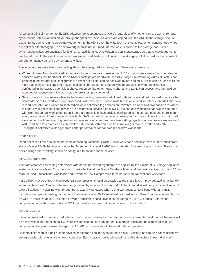All writes are initially written to the ZFS adaptive replacement cache (ARC), regardless of whether they are asynchronous, synchronous, latency-optimized, or throughput-optimized. Also, all writes are copied from the ARC to the storage pool. An asynchronous write returns an acknowledgement to the client after the write to ARC is complete. When synchronous writes are optimized for throughput, an acknowledgement is not returned until the write is copied to the storage pool. When synchronous writes are optimized for latency, an additional copy is written to persistent storage so that acknowledgements can be returned to the client faster. When write-optimized flash is configured in the storage pool, it is used as the persistent storage for latency-sensitive synchronous writes.

The synchronous write bias share setting should be configured for throughput. There are two reasons:

- **»** Write-optimized flash is a limited resource and is much more expensive than HDDs. It provides a major boost to latencysensitive writes, but traditional Oracle RMAN backups are bandwidth-sensitive, large 1 M streaming writes. If flash is not present in the storage pool configuration, a lower price point can be achieved by not adding it. HDDs can be used to fill the slots that flash can occupy and provide additional throughput and capacity in the process. If write-optimized flash is configured in the storage pool, it is a shared resource that other network shares and LUNs can access, and it should be reserved for latency-sensitive workloads where it can provide benefit.
- **»** Setting the synchronous write bias to the latency setting generates additional data transfer and reduces performance when bandwidth-sensitive workloads are processed. When the synchronous write bias is optimized for latency, an additional copy is read from ARC and written to flash. When write-optimized log devices are mirrored, an additional two copies are written to flash. Write-optimized flash devices are designed to service a lot of IOPS, but can easily become bandwidth-saturated with high-throughput workloads. Even if there are many idle flash devices configured in the storage pool and there is an adequate amount of flash bandwidth available, SAS bandwidth becomes a limiting factor. In a configuration with mirrored storage pools with mirrored log devices and a latency synchronous write bias setting, synchronous writes are written first to ARC, and then four more copies are written. SAS bandwidth would be four times larger than network bandwidth. Throughput-optimized writes generate better performance for bandwidth-sensitive workloads.

### READ CACHE

Read-optimized flash should not be used for caching traditional Oracle RMAN workloads because there is little benefit from storing Oracle RMAN backup sets in cache. Moreover, the level 2 ARC is not intended for streaming workloads. The cache device usage share setting should be configured to not use cache devices.

### DATA COMPRESSION

The data compression setting determines whether compression algorithms are applied by the Oracle ZFS Storage Appliance system at the share level. Compression is most effective at the Oracle Database level, and the best practice is to use HCC for read-focused transactional workloads and Advanced Row Compression for write-focused transactional workloads.

For traditional Oracle RMAN workloads, LZ4 compression should be enabled at the share level. It provides additional benefit when combined with Oracle Database compression by reducing the bandwidth to back-end disk with only a minimal impact to CPU utilization. Physical network throughput is actually increased when using LZ4 because SAS bandwidth and HDD utilization are typically limiting factors for a traditional Oracle RMAN workload. With Advanced Row Compression enabled for an OLTP Oracle Database, LZ4 often provides additional space savings in the range of 1.8 to 2.4 times. Gzip-based compression algorithms are costly on CPU overhead and should not be considered in this context.

### DEDUPLICATION

It is recommended to use data deduplication with backup strategies when four or more incremental level 0 or full backups will be active within the retention policy. Deduplication should use a double-parity storage profile and be combined with LZ4 compression to optimize useable capacity. A 1 MB record size should be used with deduplication.

Best practices require a pair of metadevices per storage pool for every 88 data disks. Typically, backup use cases utilize two storage pools, with one active on each controller. Each storage pool is allocated half of the data disks in each disk shelf.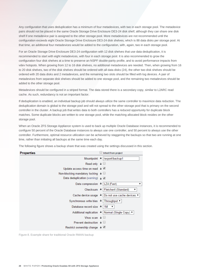Any configuration that uses deduplication has a minimum of four metadevices, with two in each storage pool. The metadevice pairs should not be placed in the same Oracle Storage Drive Enclosure DE3-24 disk shelf, although they can share one disk shelf if one metadevice pair is assigned to the other storage pool. More metadevices are not recommended until the configuration exceeds eight Oracle Storage Drive Enclosure DE3-24 disk shelves, which is 88 data disks per storage pool. At that time, an additional four metadevices would be added to the configuration, with, again, two in each storage pool.

For an Oracle Storage Drive Enclosure DE3-24 configuration with 12 disk shelves that use data deduplication, it is recommended to start with eight metadevices, with four in each storage pool. It is also recommended to grow the configuration four disk shelves at a time to preserve an NSPF double-parity profile, and to avoid performance impacts from vdev hotspots. When growing from 12 to 16 disk shelves, no additional metadevices are needed. Then, when growing from 16 to 20 disk shelves, two of the disk shelves should be ordered with all data disks (24), the other two disk shelves should be ordered with 20 data disks and 2 metadevices, and the remaining two slots should be filled with log devices. A pair of metadevices from separate disk shelves should be added to one storage pool, and the remaining two metadevices should be added to the other storage pool.

Metadevices should be configured in a striped format. The data stored there is a secondary copy, similar to L2ARC read cache. As such, redundancy is not an important factor.

If deduplication is enabled, an individual backup job should always utilize the same controller to maximize data reduction. The deduplication domain is global to the storage pool and will not spread to the other storage pool that is primary on the second controller in the cluster. A backup job that writes data to both controllers has a reduced opportunity for duplicate block matches. Some duplicate blocks are written to one storage pool, while the matching allocated block resides on the other storage pool.

When an Oracle ZFS Storage Appliance system is used to back up multiple Oracle Database instances, it is recommended to configure 50 percent of the Oracle Database instances to always use one controller, and 50 percent to always use the other controller. Furthermore, optimal resource utilization can be achieved by staggering the backups so that two are running at one time, rather than initiating all backups at the same time each day.

The following figure shows a backup share that was created using the settings discussed in this section.

| Properties |                                                      | Inherit from project                                                          |
|------------|------------------------------------------------------|-------------------------------------------------------------------------------|
|            |                                                      | Mountpoint $\triangleq$ //export/backup1                                      |
|            | Read only $a \Box$                                   |                                                                               |
|            | Update access time on read $\triangleq \blacksquare$ |                                                                               |
|            | Non-blocking mandatory locking $\triangleq$          |                                                                               |
|            | Data deduplication (warning) $\Box$                  |                                                                               |
|            | Data compression $\triangleq$ LZ4 (Fast)             | ▼                                                                             |
|            |                                                      | Checksum <sup>a</sup> Fletcher4 (Standard)                                    |
|            |                                                      | Cache device usage $\triangleq$ Do not use cache devices $\blacktriangledown$ |
|            | Synchronous write bias <sup>a</sup> Throughput ▼     |                                                                               |
|            | Database record size $\triangleq$ 1M                 |                                                                               |
|            |                                                      | Additional replication <sup>a</sup> Normal (Single Copy) ▼                    |
|            | Virus scan $a \Box$                                  |                                                                               |
|            | Prevent destruction $a \Box$                         |                                                                               |
|            | Restrict ownership change $\triangleq \blacksquare$  |                                                                               |
|            |                                                      |                                                                               |

Figure 8. Example share for traditional Oracle RMAN backup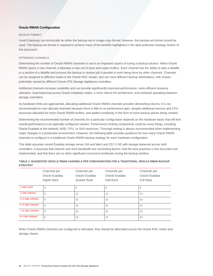# <span id="page-28-0"></span>**Oracle RMAN Configuration**

### BACKUP FORMAT

Level 0 backups can technically be either the backup-set or image-copy format; however, the backup-set format should be used. The backup-set format is required to achieve many of the benefits highlighted in the data protection strategy section of this document.

### OPTIMIZING CHANNELS

Determining the number of Oracle RMAN channels to use is an important aspect of tuning a backup solution. When Oracle RMAN opens a new channel, it allocates a new set of input and output buffers. Each channel has the ability to take a datafile or a section of a datafile and process the backup or restore job in parallel to work being done by other channels. Channels can be assigned to different nodes in the Oracle RAC cluster, and can have different backup destinations, with shares potentially owned by different Oracle ZFS Storage Appliance controllers.

Additional channels increase scalability and can provide significantly improved performance, more-efficient resource utilization, load balancing across Oracle Database nodes, a more robust HA architecture, and workload spreading between storage controllers.

As hardware limits are approached, allocating additional Oracle RMAN channels provides diminishing returns. It is not recommended to over-allocate channels because there is little to no performance gain, despite additional memory and CPU resources allocated for more Oracle RMAN buffers, and added complexity in the form of more backup pieces being created.

Determining the recommended number of channels for a particular configuration depends on the hardware factor that will limit overall performance in an optimally configured solution. Performance limiting components could be many things, including Oracle Exadata or the network, HDD, CPU, or SAS resources. Thorough testing is always recommended when implementing major changes in a production environment. However, the following table provides guidance for how many Oracle RMAN channels to configure in a traditional Oracle RMAN backup strategy for each hardware configuration.

This table assumes recent Exadata storage server (X6 and later) and ZS7-2 HE with storage balanced across both controllers. It assumes that network and SAS bandwidth are not limiting factors, that the best practices in this document are implemented, and that there are no other significant concurrent workloads during the backup window.

|                  | Channels per<br>Oracle Exadata<br>Eighth Rack | Channels per<br>Oracle Exadata<br>Quarter Rack | Channels per<br>Oracle Exadata<br><b>Half Rack</b> | Channels per<br>Oracle Exadata<br>Full Rack |
|------------------|-----------------------------------------------|------------------------------------------------|----------------------------------------------------|---------------------------------------------|
| 1 DISK Shelf     | 8                                             | 8                                              | 8                                                  | 8                                           |
| 2 Disk Shelves   | 8                                             | 12                                             | 12                                                 | 12                                          |
| 3-4 DISK Shelves | 8                                             | 16                                             | 16                                                 | 16                                          |
| 5-6 Disk Shelves | 8                                             | 16                                             | 24                                                 | 24                                          |
| 7-8 Disk Shelves | 8                                             | 16                                             | 32                                                 | 32                                          |
| 9+ Disk Shelves  | 8                                             | 16                                             | 32                                                 | 40                                          |

**TABLE 3. SUGGESTED ORACLE RMAN CHANNELS PER CONFIGURATION FOR A TRADITIONAL ORACLE RMAN BACKUP STRATEGY**

When Oracle RMAN channels are configured or allocated, they should be alternated across the Oracle RAC nodes and storage shares.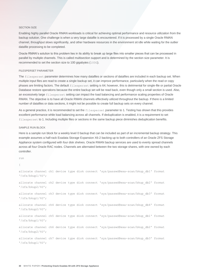### SECTION SIZE

Enabling highly parallel Oracle RMAN workloads is critical for achieving optimal performance and resource utilization from the backup solution. One challenge is when a very large datafile is encountered. If it is processed by a single Oracle RMAN channel, throughput slows significantly, and other hardware resources in the environment sit idle while waiting for the outlier datafile processing to be completed.

Oracle RMAN's solution to this problem lies in its ability to break up large files into smaller pieces that can be processed in parallel by multiple channels. This is called multisection support and is determined by the section size parameter. It is recommended to set the section size to 100 gigabytes (100G).

### FILESPERSET PARAMETER

The filesperset parameter determines how many datafiles or sections of datafiles are included in each backup set. When multiple input files are read to create a single backup set, it can improve performance, particularly when the read or copy phases are limiting factors. The default filesperset setting is 64; however, this is detrimental for single-file or partial Oracle Database restore operations because the entire backup set will be read back, even though only a small section is used. Also, an excessively large filesperset setting can impact the load balancing and performance scaling properties of Oracle RMAN. The objective is to have all Oracle RMAN channels effectively utilized throughout the backup. If there is a limited number of datafiles or data sections, it might not be possible to create full backup sets on every channel.

As a general practice, it is recommended to set the filesperset parameter to 1. Testing has shown that this provides excellent performance while load balancing across all channels. If deduplication is enabled, it is a requirement to set filesperset to 1. Including multiple files or sections in the same backup piece diminishes deduplication benefits.

### SAMPLE RUN BLOCK

Here is a sample run block for a weekly level 0 backup that can be included as part of an incremental backup strategy. This example assumes a half-rack Exadata Storage Expansion X6-2 backing up to both controllers of an Oracle ZFS Storage Appliance system configured with four disk shelves. Oracle RMAN backup services are used to evenly spread channels across all four Oracle RAC nodes. Channels are alternated between the two storage shares, with one owned by each controller.

run

{

| $\frac{1}{z}$ fs/bkup1/%U'; |  |  | allocate channel chl device type disk connect 'sys/passwd@exa-scan/bkup dbl' format |  |
|-----------------------------|--|--|-------------------------------------------------------------------------------------|--|
| $'$ /zfs/bkup2/%U';         |  |  | allocate channel ch2 device type disk connect 'sys/passwd@exa-scan/bkup db2' format |  |
| $'$ /zfs/bkup1/%U';         |  |  | allocate channel ch3 device type disk connect 'sys/passwd@exa-scan/bkup db3' format |  |
| $'$ /zfs/bkup2/%U';         |  |  | allocate channel ch4 device type disk connect 'sys/passwd@exa-scan/bkup db4' format |  |
| $'$ /zfs/bkup1/%U';         |  |  | allocate channel ch5 device type disk connect 'sys/passwd@exa-scan/bkup db1' format |  |
| $'$ /zfs/bkup2/%U';         |  |  | allocate channel ch6 device type disk connect 'sys/passwd@exa-scan/bkup db2' format |  |
| $'$ /zfs/bkup1/%U';         |  |  | allocate channel ch7 device type disk connect 'sys/passwd@exa-scan/bkup db3' format |  |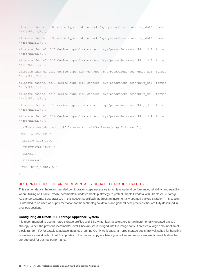```
allocate channel ch8 device type disk connect 'sys/passwd@exa-scan/bkup_db4' format 
'/zfs/bkup2/%U';
allocate channel ch9 device type disk connect 'sys/passwd@exa-scan/bkup_db1' format 
'/zfs/bkup1/%U';
allocate channel ch10 device type disk connect 'sys/passwd@exa-scan/bkup_db2' format 
'/zfs/bkup2/%U';
allocate channel ch11 device type disk connect 'sys/passwd@exa-scan/bkup_db3' format 
'/zfs/bkup1/%U';
allocate channel ch12 device type disk connect 'sys/passwd@exa-scan/bkup_db4' format 
'/zfs/bkup2/%U';
allocate channel ch13 device type disk connect 'sys/passwd@exa-scan/bkup_db1' format 
'/zfs/bkup1/%U';
allocate channel ch14 device type disk connect 'sys/passwd@exa-scan/bkup_db2' format 
'/zfs/bkup2/%U';
allocate channel ch15 device type disk connect 'sys/passwd@exa-scan/bkup_db3' format 
'/zfs/bkup1/%U';
allocate channel ch16 device type disk connect 'sys/passwd@exa-scan/bkup_db4' format 
'/zfs/bkup2/%U';
configure snapshot controlfile name to '+DATA/dbname/snapcf dbname.f';
BACKUP AS BACKUPSET 
  SECTION SIZE 100G 
  INCREMENTAL LEVEL 0 
  DATABASE 
  FILESPERSET 1
  TAG 'BKUP_SUNDAY_L0';
}
```
# <span id="page-30-0"></span>BEST PRACTICES FOR AN INCREMENTALLY UPDATED BACKUP STRATEGY

This section details the recommended configuration steps necessary to achieve optimal performance, reliability, and usability when utilizing an Oracle RMAN incrementally updated backup strategy to protect Oracle Exadata with Oracle ZFS Storage Appliance systems. Best practices in this section specifically address an incrementally updated backup strategy. This section is intended to be used as supplementation for the technological details and general best practices that are fully described in previous sections.

### <span id="page-30-1"></span>**Configuring an Oracle ZFS Storage Appliance System**

It is recommended to use mirrored storage profiles and SSD write-flash accelerators for an incrementally updated backup strategy. When the previous incremental level 1 backup set is merged into the image copy, it creates a large amount of smallblock, random I/O for Oracle Database instances running OLTP workloads. Mirrored storage pools are well suited for handling I/O-intensive workloads. Small I/O updates to the backup copy are latency-sensitive and require write-optimized flash in the storage pool for optimal performance.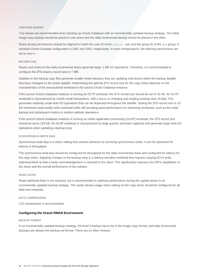### CREATING SHARES

Two shares are recommended when backing up Oracle Database with an incrementally updated backup strategy. The initial image copy backup should be placed in one share and the daily incremental backup should be placed in the other.

Share access permissions should be aligned to match the user ID of the oracle user and the group ID of the dba group. A standard Oracle Exadata configuration is 1001 and 1002, respectively. In most configurations, the directory permissions are set to rwxr-x---.

### RECORD SIZE

Reads and writes for the daily incremental share generate large, 1 MB I/O operations. Therefore, it is recommended to configure the ZFS share's record size to 1 MB.

Updates to the backup copy files generate smaller writes because they are updating only blocks within the backup datafile that have changed on the active datafile. Determining the optimal ZFS record size for the copy share depends on the characteristics of the transactional workload to the source Oracle Database instance.

If the source Oracle Database instance is running an OLTP workload, the ZFS record size should be set to 32 KB. An OLTP workload is characterized by mostly small transactions, with a focus on changing and reading existing rows of data. This generates relatively small write I/O operations that can be dispersed throughout the datafile. Setting the ZFS record size to 32 KB minimizes read-modify-write overhead while still providing good performance for streaming workloads, such as the initial backup and subsequent restore or restore-validate operations.

If the source Oracle Database instance is running an online application processing (OLAP) workload, the ZFS record size should be set to 128 KB. An OLAP workload is characterized by large queries and batch appends that generate large write I/O operations when updating a backup copy.

### SYNCHRONOUS WRITE BIAS

Synchronous write bias is a share setting that controls behavior for servicing synchronous writes. It can be optimized for latency or throughput.

The synchronous write bias should be configured for throughput for the daily incremental share and configured for latency for the copy share. Applying changes to the backup copy is a latency-sensitive workload that requires copying I/O to writeoptimized flash so that a faster acknowledgement is returned to the client. This significantly improves the IOPS capabilities of the share and the overall performance of the solution.

### READ CACHE

Read-optimized flash is not required, but is recommended to optimize performance during the update phase in an incrementally updated backup strategy. The cache-device-usage share setting on the copy share should be configured for all data and metadata.

### DATA COMPRESSION

LZ4 compression is recommended.

### <span id="page-31-0"></span>**Configuring the Oracle RMAN Environment**

### BACKUP FORMAT

In an incrementally updated backup strategy, the level 0 backup has to be in the image-copy format, and daily incremental backups are always the backup-set format. There are no other choices.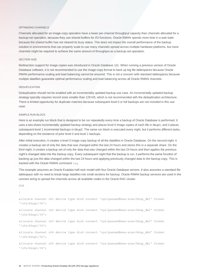### OPTIMIZING CHANNELS

Channels allocated for an image-copy operation have a lower per-channel throughput capacity than channels allocated for a backup-set operation, because they use shared buffers for I/O functions. Oracle RMAN spends more time in a wait state because the shared buffer has not cleared its busy status. This does not impact the overall performance of the backup solution in environments that can properly scale to use many channels spread across multiple hardware platforms, but more channels might be required to achieve the same amount of throughput as a backup-set operation.

### SECTION SIZF

Multisection support for image copies was introduced in Oracle Database 12*c*. When running a previous version of Oracle Database software, it is not recommended to use the image-copy format to back up big file tablespaces because Oracle RMAN performance scaling and load balancing cannot be ensured. This is not a concern with standard tablespaces because multiple datafiles guarantee optimal performance scaling and load balancing across all Oracle RMAN channels.

### DEDUPLICATION

Deduplication should not be enabled with an incrementally updated backup use case. An incrementally updated backup strategy typically requires record sizes smaller than 128 KB, which is not recommended with the deduplication architecture. There is limited opportunity for duplicate matches because subsequent level 0 or full backups are not included in this use case.

# SAMPLE RUN BLOCK

Here is an example run block that is designed to be run repeatedly every time a backup of Oracle Database is performed. It uses a two-share incrementally updated backup strategy and places level 0 image copies of each file in bkup1, and it places subsequent level 1 incremental backups in bkup2. The same run block is executed every night, but it performs different tasks, depending on the existence of prior level 0 and level 1 backups.

After initial execution, it creates a level 0 image copy backup of all the datafiles in Oracle Database. On the second night, it creates a backup set of only the data that was changed within the last 24 hours and stores this in a separate share. On the third night, it creates a backup set of only the data that was changed within the last 24 hours and then applies the previous night's changed data into the backup copy. Every subsequent night that the backup is run, it performs the same function of backing up just the data changed within the last 24 hours and applying previously changed data to the backup copy. This is tracked with the Oracle RMAN command tag.

This example assumes an Oracle Exadata half-rack model with four Oracle Database servers. It also assumes a standard file tablespace with no need to break large datafiles into small sections for backup. Oracle RMAN backup services are used in the connect string to spread the channels across all available nodes in the Oracle RAC cluster.

RUN {

allocate channel ch1 device type disk connect 'sys/passwd@exa-scan/bkup\_db1' format '/zfs/bkup1/%U'; allocate channel ch2 device type disk connect 'sys/passwd@exa-scan/bkup\_db2' format '/zfs/bkup1/%U'; allocate channel ch3 device type disk connect 'sys/passwd@exa-scan/bkup\_db3' format '/zfs/bkup1/%U'; allocate channel ch4 device type disk connect 'sys/passwd@exa-scan/bkup\_db4' format '/zfs/bkup1/%U'; allocate channel ch5 device type disk connect 'sys/passwd@exa-scan/bkup\_db1' format '/zfs/bkup1/%U';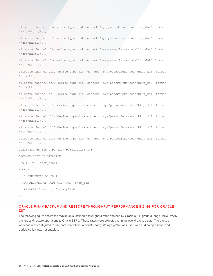allocate channel ch6 device type disk connect 'sys/passwd@exa-scan/bkup\_db2' format '/zfs/bkup1/%U'; allocate channel ch7 device type disk connect 'sys/passwd@exa-scan/bkup\_db3' format '/zfs/bkup1/%U'; allocate channel ch8 device type disk connect 'sys/passwd@exa-scan/bkup\_db4' format '/zfs/bkup1/%U'; allocate channel ch9 device type disk connect 'sys/passwd@exa-scan/bkup\_db1' format '/zfs/bkup1/%U'; allocate channel ch10 device type disk connect 'sys/passwd@exa-scan/bkup\_db2' format '/zfs/bkup1/%U'; allocate channel ch11 device type disk connect 'sys/passwd@exa-scan/bkup\_db3' format '/zfs/bkup1/%U'; allocate channel ch12 device type disk connect 'sys/passwd@exa-scan/bkup\_db4' format '/zfs/bkup1/%U'; allocate channel ch13 device type disk connect 'sys/passwd@exa-scan/bkup\_db1' format '/zfs/bkup1/%U'; allocate channel ch14 device type disk connect 'sys/passwd@exa-scan/bkup\_db2' format '/zfs/bkup1/%U'; allocate channel ch15 device type disk connect 'sys/passwd@exa-scan/bkup\_db3' format '/zfs/bkup1/%U'; allocate channel ch16 device type disk connect 'sys/passwd@exa-scan/bkup\_db4' format '/zfs/bkup1/%U'; configure device type disk parallelism 16; RECOVER COPY OF DATABASE WITH TAG 'incr\_zfs'; BACKUP INCREMENTAL LEVEL 1 FOR RECOVER OF COPY WITH TAG 'incr\_zfs' DATABASE format '/zfs/bkup2/%U'; }

# <span id="page-33-0"></span>ORACLE RMAN BACKUP AND RESTORE THROUGHPUT PERFORMANCE SIZING FOR ORACLE ZS7

The following figure shows the maximum sustainable throughput rates attained by Oracle's AIE group during Oracle RMAN backup and restore operations to Oracle ZS7-2. These rates were collected running level 0 backup sets. The backup workload was configured to use both controllers. A double-parity storage profile was used with LZ4 compression, and deduplication was not enabled.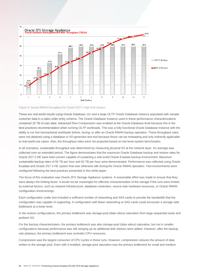

### Figure 9. Oracle RMAN throughput for Oracle ZS7-2 High End System

These are real-world results using Oracle Database 12*c* and a large OLTP Oracle Database instance populated with sample customer data in a sales order-entry schema. The Oracle Database instance used in these performance characterizations contained 15 TB of user data. Advanced Row Compression was enabled at the Oracle Database level because this is the best practices recommendation when running OLTP workloads. This was a fully functional Oracle Database instance with the ability to run live transactional workloads before, during, or after an Oracle RMAN backup operation. These throughput rates were not obtained using a database or I/O-generator test tool because those can be misleading and only indirectly applicable to real-world use cases. Also, the throughput rates were not projected based on low-level system benchmarks.

In all scenarios, sustainable throughput was determined by measuring physical I/O at the network layer. An average was collected over an extended period. The figure demonstrates that the maximum Oracle Database backup and restore rates for Oracle ZS7-2 HE have been proven capable of sustaining a real-world Oracle Exadata backup environment. Maximum sustainable backup rates of 50 TB per hour and 62 TB per hour were demonstrated. Performance was collected using Oracle Exadata and Oracle ZS7-2 HE system that was otherwise idle during the Oracle RMAN operation. Test environments were configured following the best practices presented in this white paper.

The focus of this evaluation was Oracle ZFS Storage Appliance systems. A reasonable effort was made to ensure that they were always the limiting factor. It would not be meaningful for effective characterization of the storage if the runs were limited by external factors, such as network infrastructure, database contention, source-side hardware resources, or Oracle RMAN configuration shortcomings.

Each configuration under test included a sufficient number of networking and SAS cards to provide the bandwidth that the configuration was capable of supporting. A configuration with fewer networking or SAS cards could encounter a storage-side bottleneck at a lower level.

In the restore configurations, the primary bottleneck was storage-pool (data vdevs) saturation from large sequential reads and prefetch I/O.

For the backup characterization, the primary bottleneck was also storage-pool (data vdevs) saturation, but not in smaller configurations because performance was still ramping up as additional disk shelves were added. However, after the backup rate plateaus, the primary bottleneck was controller CPU resources.

Compression was the largest consumer of CPU cycles in these runs. However, compression reduces the amount of data written to the storage pool. Even with it enabled, storage-pool saturation was the primary bottleneck for small and medium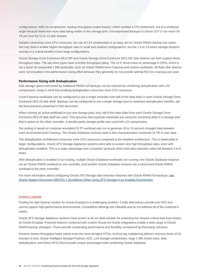configurations. With no compression, backup throughput scaled linearly, which avoided a CPU bottleneck, but at a shallower angle because there was more data being written to the storage pool. Uncompressed backups to Oracle ZS7-2 can reach 50 TB per hour for 11 to 12 disk shelves.

Despite consuming more CPU resources, the use of LZ4 compression is an easy win for Oracle RMAN backup use cases. Not only does it enable higher throughput rates in small and medium configurations, but the 1.8 to 2.8 times storage-footprint savings is a critical benefit in even large configurations.

Oracle Storage Drive Enclosure DE3-24P and Oracle Storage Drive Enclosure DE3-24C disk shelves can both support these throughput rates. The two drive types have a similar throughput rating. The 10 K drives have an advantage in IOPS, which is not a factor for sequential 1 MB workloads, such as Oracle RMAN level 0 backup and restore workloads. All-flash disk shelves were not included in this performance sizing effort because they generally do not provide optimal ROI for a backup use case.

### <span id="page-35-0"></span>**Performance Sizing with Deduplication**

Disk storage space consumed by traditional RMAN full backups can be reduced by combining deduplication with LZ4 compression. Keep in mind that enabling deduplication consumes more CPU resources.

Level 0 backup workloads can be configured to use a single controller with half of the data disks in each Oracle Storage Drive Enclosure DE3-24 disk shelf. Backups can be configured to use a single storage pool to maximize deduplication benefits, per the best practices presented in this document.

When running an active workload on just one storage pool, only half of the data disks from each Oracle Storage Drive Enclosure DE3-24 disk shelf are used. This assumes that separate workloads are using the remaining disks in a storage pool that is active on the other controller. A double-parity storage profile was used with LZ4 compression.

Our testing is based on customer-emulated OLTP workload was run to generate 10 to 15 percent changed data between each incremental level 0 backup. The Oracle Database schema used in this characterization contained 15 TB of user data.

The deduplication architecture consumes more CPU resources compared to the baseline architecture. This is observable in larger configurations. Oracle ZFS Storage Appliance systems were able to sustain very high throughput rates, even with deduplication enabled. This is a major advantage over competitor products when total data reduction ratios fall between 3 to 6 times.

With deduplication is enabled in our testing, multiple Oracle Database workloads are running; one Oracle Database instance ran an Oracle RMAN workload to one controller, and another Oracle Database instance ran a concurrent Oracle RMAN workload to the other controller.

For more information about configuring Oracle ZFS Storage data reduction features with Oracle RMAN full backups, see [Oracle Support Document 2087231.1 \(Guidelines When Using ZFS Storage in an Exadata Environment.](https://support.oracle.com/epmos/faces/DocumentDisplay?id=2087231.1)

# <span id="page-35-1"></span>**CONCLUSION**

Finding the right backup solution for Oracle Exadata is a challenging problem. Costly alternatives provide poor ROI and cannot support high-performance environments. Competitive offerings are inflexible and do not address all of the customer's needs.

Oracle ZFS Storage Appliance systems have proven to be an ideal solution for protecting the mission-critical data that resides on Oracle Exadata. Powerful features combined with custom Oracle-on-Oracle integrations enable a wide range of Oracle RMAN backup strategies. These provide outstanding performance and flexibility unmatched by third-party solutions.

Extreme restore throughput helps satisfy even the most stringent RTOs. Archive log multiplexing delivers recovery times of 20 minutes or less. Oracle Intelligent Storage Protocol, HCC, LZ4 storage compression, large 1 MB record sizes, data deduplication, and Direct NFS Client provide unique advantages when protecting Oracle Database.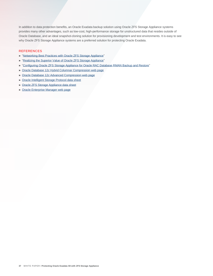In addition to data protection benefits, an Oracle Exadata backup solution using Oracle ZFS Storage Appliance systems provides many other advantages, such as low-cost, high-performance storage for unstructured data that resides outside of Oracle Database, and an ideal snapshot-cloning solution for provisioning development and test environments. It is easy to see why Oracle ZFS Storage Appliance systems are a preferred solution for protecting Oracle Exadata.

# <span id="page-36-0"></span>**REFERENCES**

- **»** ["Networking Best Practices with Oracle ZFS Storage Appliance"](http://www.oracle.com/technetwork/server-storage/sun-unified-storage/documentation/networking-bestprac-zfssa-2215767.pdf)
- **»** ["Realizing the Superior Value of Oracle ZFS Storage Appliance"](http://www.oracle.com/us/products/servers-storage/storage/nas/resources/zfs-sa-businessvaluewp-final-1845658.pdf)
- **»** ["Configuring Oracle ZFS Storage Appliance for Oracle RAC Database RMAN Backup and Restore"](https://community.oracle.com/docs/DOC-1009538)
- **»** Oracle Database 12*c* [Hybrid Columnar Compression web page](http://www.oracle.com/technetwork/database/database-technologies/hybrid-col-compression/overview/index.html)
- **»** Oracle Database 12*c* [Advanced Compression web page](http://www.oracle.com/technetwork/database/options/compression/index-095686.html)
- **»** [Oracle Intelligent Storage Protocol data sheet](http://www.oracle.com/us/products/servers-storage/storage/nas/oracle-isp-ds-final-2139042.pdf)
- **»** [Oracle ZFS Storage Appliance data sheet](http://www.oracle.com/us/products/servers-storage/storage/nas/ds-nas-storage-zs5-3158594.pdf)
- **»** [Oracle Enterprise Manager web page](http://www.oracle.com/technetwork/database/manageability/index.html)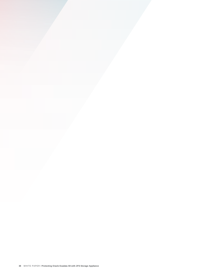WHITE PAPER / **Protecting Oracle Exadata X8 with ZFS Storage Appliance**